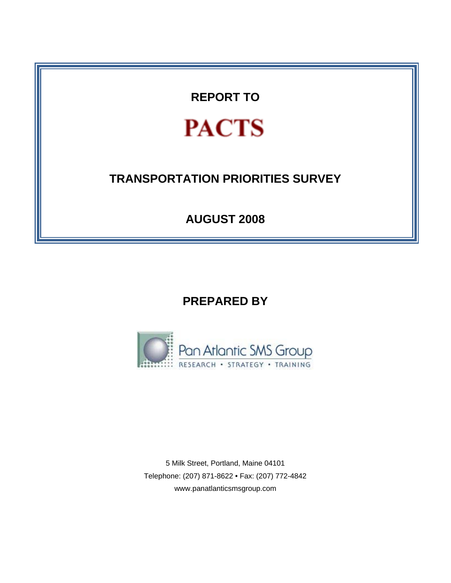**REPORT TO** 

# **PACTS**

# **TRANSPORTATION PRIORITIES SURVEY**

**AUGUST 2008** 

**PREPARED BY** 



5 Milk Street, Portland, Maine 04101 Telephone: (207) 871-8622 • Fax: (207) 772-4842 www.panatlanticsmsgroup.com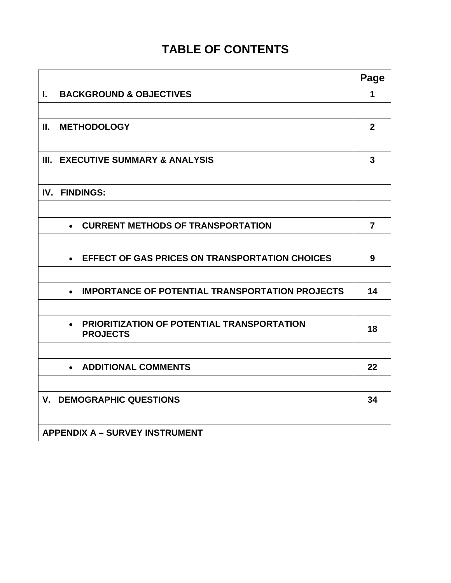## **TABLE OF CONTENTS**

|                                                                                   | Page             |
|-----------------------------------------------------------------------------------|------------------|
| <b>BACKGROUND &amp; OBJECTIVES</b><br>L.                                          | 1                |
|                                                                                   |                  |
| <b>METHODOLOGY</b><br>Ш.                                                          | $\boldsymbol{2}$ |
|                                                                                   |                  |
| <b>EXECUTIVE SUMMARY &amp; ANALYSIS</b><br>III.                                   | 3                |
|                                                                                   |                  |
| <b>FINDINGS:</b><br>IV.                                                           |                  |
|                                                                                   |                  |
| <b>CURRENT METHODS OF TRANSPORTATION</b><br>$\bullet$                             | $\overline{7}$   |
|                                                                                   |                  |
| <b>EFFECT OF GAS PRICES ON TRANSPORTATION CHOICES</b><br>$\bullet$                | 9                |
|                                                                                   |                  |
| <b>IMPORTANCE OF POTENTIAL TRANSPORTATION PROJECTS</b><br>$\bullet$               | 14               |
|                                                                                   |                  |
| <b>PRIORITIZATION OF POTENTIAL TRANSPORTATION</b><br>$\bullet$<br><b>PROJECTS</b> | 18               |
|                                                                                   |                  |
| <b>ADDITIONAL COMMENTS</b><br>$\bullet$                                           | 22               |
|                                                                                   |                  |
| <b>V. DEMOGRAPHIC QUESTIONS</b>                                                   | 34               |
|                                                                                   |                  |
| <b>APPENDIX A - SURVEY INSTRUMENT</b>                                             |                  |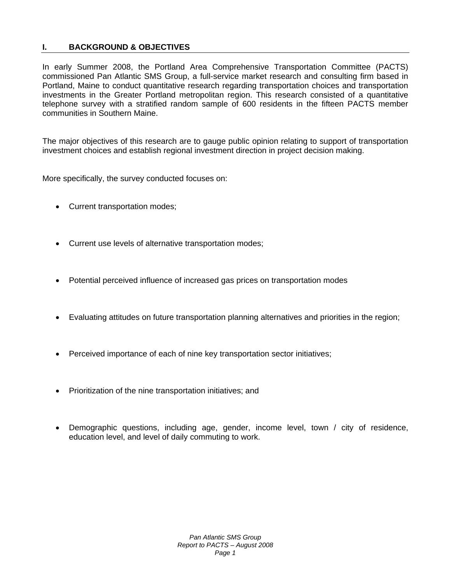## **I. BACKGROUND & OBJECTIVES**

In early Summer 2008, the Portland Area Comprehensive Transportation Committee (PACTS) commissioned Pan Atlantic SMS Group, a full-service market research and consulting firm based in Portland, Maine to conduct quantitative research regarding transportation choices and transportation investments in the Greater Portland metropolitan region. This research consisted of a quantitative telephone survey with a stratified random sample of 600 residents in the fifteen PACTS member communities in Southern Maine.

The major objectives of this research are to gauge public opinion relating to support of transportation investment choices and establish regional investment direction in project decision making.

More specifically, the survey conducted focuses on:

- Current transportation modes;
- Current use levels of alternative transportation modes;
- Potential perceived influence of increased gas prices on transportation modes
- Evaluating attitudes on future transportation planning alternatives and priorities in the region;
- Perceived importance of each of nine key transportation sector initiatives;
- Prioritization of the nine transportation initiatives; and
- Demographic questions, including age, gender, income level, town / city of residence, education level, and level of daily commuting to work.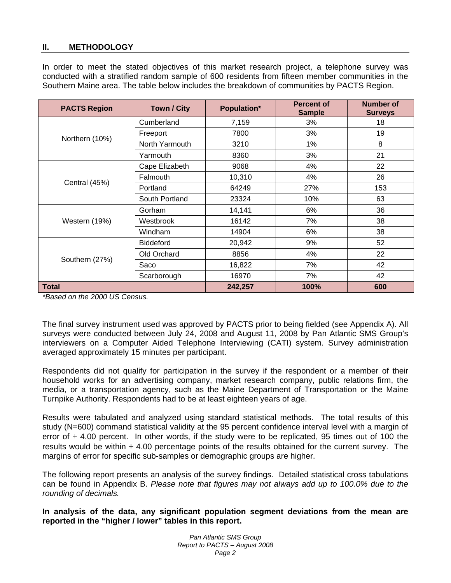## **II. METHODOLOGY**

In order to meet the stated objectives of this market research project, a telephone survey was conducted with a stratified random sample of 600 residents from fifteen member communities in the Southern Maine area. The table below includes the breakdown of communities by PACTS Region.

| <b>PACTS Region</b> | <b>Town / City</b> | Population* | <b>Percent of</b><br><b>Sample</b> | <b>Number of</b><br><b>Surveys</b> |
|---------------------|--------------------|-------------|------------------------------------|------------------------------------|
|                     | Cumberland         | 7,159       | 3%                                 | 18                                 |
| Northern (10%)      | Freeport           | 7800        | 3%                                 | 19                                 |
|                     | North Yarmouth     | 3210        | 1%                                 | 8                                  |
|                     | Yarmouth           | 8360        | 3%                                 | 21                                 |
|                     | Cape Elizabeth     | 9068        | 4%                                 | 22                                 |
| Central (45%)       | Falmouth           | 10,310      | 4%                                 | 26                                 |
|                     | Portland           | 64249       | 27%                                | 153                                |
|                     | South Portland     | 23324       | 10%                                | 63                                 |
|                     | Gorham             | 14,141      | 6%                                 | 36                                 |
| Western (19%)       | Westbrook          | 16142       | 7%                                 | 38                                 |
|                     | Windham            | 14904       | 6%                                 | 38                                 |
|                     | <b>Biddeford</b>   | 20,942      | 9%                                 | 52                                 |
| Southern (27%)      | Old Orchard        | 8856        | 4%                                 | 22                                 |
|                     | Saco               | 16,822      | 7%                                 | 42                                 |
|                     | Scarborough        | 16970       | 7%                                 | 42                                 |
| <b>Total</b>        |                    | 242,257     | 100%                               | 600                                |

*\*Based on the 2000 US Census.* 

The final survey instrument used was approved by PACTS prior to being fielded (see Appendix A). All surveys were conducted between July 24, 2008 and August 11, 2008 by Pan Atlantic SMS Group's interviewers on a Computer Aided Telephone Interviewing (CATI) system. Survey administration averaged approximately 15 minutes per participant.

Respondents did not qualify for participation in the survey if the respondent or a member of their household works for an advertising company, market research company, public relations firm, the media, or a transportation agency, such as the Maine Department of Transportation or the Maine Turnpike Authority. Respondents had to be at least eighteen years of age.

Results were tabulated and analyzed using standard statistical methods. The total results of this study (N=600) command statistical validity at the 95 percent confidence interval level with a margin of error of  $\pm$  4.00 percent. In other words, if the study were to be replicated, 95 times out of 100 the results would be within  $\pm$  4.00 percentage points of the results obtained for the current survey. The margins of error for specific sub-samples or demographic groups are higher.

The following report presents an analysis of the survey findings. Detailed statistical cross tabulations can be found in Appendix B. *Please note that figures may not always add up to 100.0% due to the rounding of decimals.* 

**In analysis of the data, any significant population segment deviations from the mean are reported in the "higher / lower" tables in this report.**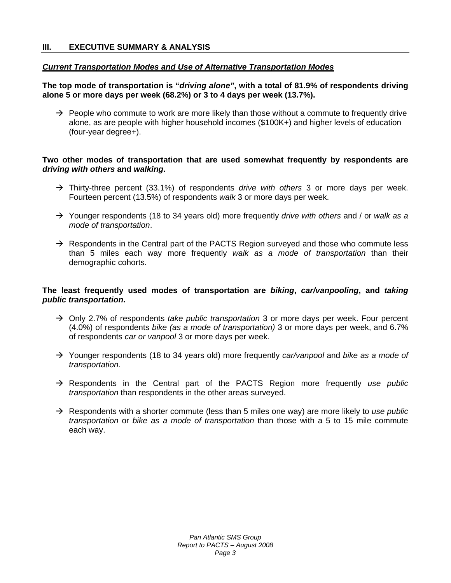## *Current Transportation Modes and Use of Alternative Transportation Modes*

## **The top mode of transportation is "***driving alone"***, with a total of 81.9% of respondents driving alone 5 or more days per week (68.2%) or 3 to 4 days per week (13.7%).**

 $\rightarrow$  People who commute to work are more likely than those without a commute to frequently drive alone, as are people with higher household incomes (\$100K+) and higher levels of education (four-year degree+).

## **Two other modes of transportation that are used somewhat frequently by respondents are**  *driving with others* **and** *walking***.**

- Æ Thirty-three percent (33.1%) of respondents *drive with others* 3 or more days per week. Fourteen percent (13.5%) of respondents *walk* 3 or more days per week.
- Æ Younger respondents (18 to 34 years old) more frequently *drive with others* and / or *walk as a mode of transportation*.
- $\rightarrow$  Respondents in the Central part of the PACTS Region surveyed and those who commute less than 5 miles each way more frequently *walk as a mode of transportation* than their demographic cohorts.

## **The least frequently used modes of transportation are** *biking***,** *car/vanpooling***, and** *taking public transportation***.**

- → Only 2.7% of respondents *take public transportation* 3 or more days per week. Four percent (4.0%) of respondents *bike (as a mode of transportation)* 3 or more days per week, and 6.7% of respondents *car or vanpool* 3 or more days per week.
- Æ Younger respondents (18 to 34 years old) more frequently *car/vanpool* and *bike as a mode of transportation*.
- → Respondents in the Central part of the PACTS Region more frequently use public *transportation* than respondents in the other areas surveyed.
- Æ Respondents with a shorter commute (less than 5 miles one way) are more likely to *use public transportation* or *bike as a mode of transportation* than those with a 5 to 15 mile commute each way.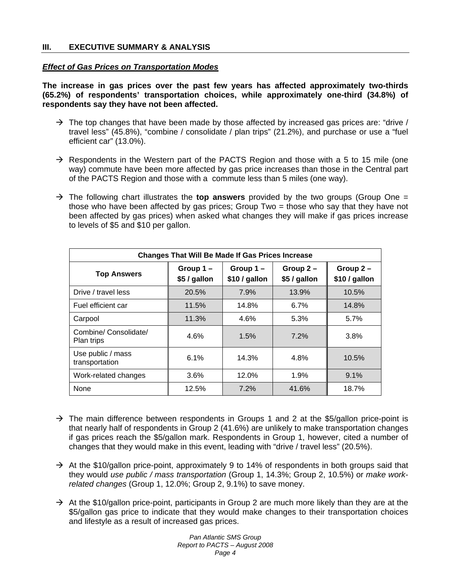## *Effect of Gas Prices on Transportation Modes*

**The increase in gas prices over the past few years has affected approximately two-thirds (65.2%) of respondents' transportation choices, while approximately one-third (34.8%) of respondents say they have not been affected.** 

- $\rightarrow$  The top changes that have been made by those affected by increased gas prices are: "drive / travel less" (45.8%), "combine / consolidate / plan trips" (21.2%), and purchase or use a "fuel efficient car" (13.0%).
- $\rightarrow$  Respondents in the Western part of the PACTS Region and those with a 5 to 15 mile (one way) commute have been more affected by gas price increases than those in the Central part of the PACTS Region and those with a commute less than 5 miles (one way).
- → The following chart illustrates the **top answers** provided by the two groups (Group One = those who have been affected by gas prices; Group Two = those who say that they have not been affected by gas prices) when asked what changes they will make if gas prices increase to levels of \$5 and \$10 per gallon.

| <b>Changes That Will Be Made If Gas Prices Increase</b> |                          |                           |                            |                              |  |  |  |
|---------------------------------------------------------|--------------------------|---------------------------|----------------------------|------------------------------|--|--|--|
| <b>Top Answers</b>                                      | Group 1-<br>\$5 / gallon | Group 1-<br>\$10 / gallon | Group $2-$<br>\$5 / gallon | Group $2 -$<br>\$10 / gallon |  |  |  |
| Drive / travel less                                     | 20.5%                    | 7.9%                      | 13.9%                      | 10.5%                        |  |  |  |
| Fuel efficient car                                      | 11.5%                    | 14.8%                     | 6.7%                       | 14.8%                        |  |  |  |
| Carpool                                                 | 11.3%                    | 4.6%                      | 5.3%                       | 5.7%                         |  |  |  |
| Combine/ Consolidate/<br>Plan trips                     | 4.6%                     | 1.5%                      | 7.2%                       | 3.8%                         |  |  |  |
| Use public / mass<br>transportation                     | 6.1%                     | 14.3%                     | 4.8%                       | 10.5%                        |  |  |  |
| Work-related changes                                    | 3.6%                     | 12.0%                     | 1.9%                       | 9.1%                         |  |  |  |
| None                                                    | 12.5%                    | 7.2%                      | 41.6%                      | 18.7%                        |  |  |  |

- $\rightarrow$  The main difference between respondents in Groups 1 and 2 at the \$5/gallon price-point is that nearly half of respondents in Group 2 (41.6%) are unlikely to make transportation changes if gas prices reach the \$5/gallon mark. Respondents in Group 1, however, cited a number of changes that they would make in this event, leading with "drive / travel less" (20.5%).
- $\rightarrow$  At the \$10/gallon price-point, approximately 9 to 14% of respondents in both groups said that they would *use public / mass transportation* (Group 1, 14.3%; Group 2, 10.5%) or *make workrelated changes* (Group 1, 12.0%; Group 2, 9.1%) to save money.
- $\rightarrow$  At the \$10/gallon price-point, participants in Group 2 are much more likely than they are at the \$5/gallon gas price to indicate that they would make changes to their transportation choices and lifestyle as a result of increased gas prices.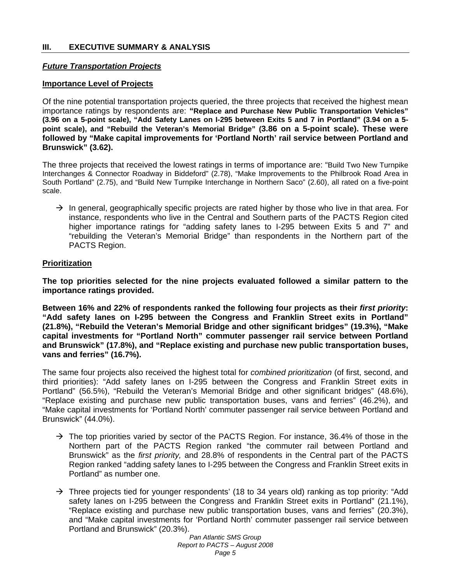## *Future Transportation Projects*

## **Importance Level of Projects**

Of the nine potential transportation projects queried, the three projects that received the highest mean importance ratings by respondents are: **"Replace and Purchase New Public Transportation Vehicles" (3.96 on a 5-point scale), "Add Safety Lanes on I-295 between Exits 5 and 7 in Portland" (3.94 on a 5 point scale), and "Rebuild the Veteran's Memorial Bridge" (3.86 on a 5-point scale). These were followed by "Make capital improvements for 'Portland North' rail service between Portland and Brunswick" (3.62).**

The three projects that received the lowest ratings in terms of importance are: "Build Two New Turnpike Interchanges & Connector Roadway in Biddeford" (2.78), "Make Improvements to the Philbrook Road Area in South Portland" (2.75), and "Build New Turnpike Interchange in Northern Saco" (2.60), all rated on a five-point scale.

 $\rightarrow$  In general, geographically specific projects are rated higher by those who live in that area. For instance, respondents who live in the Central and Southern parts of the PACTS Region cited higher importance ratings for "adding safety lanes to I-295 between Exits 5 and 7" and "rebuilding the Veteran's Memorial Bridge" than respondents in the Northern part of the PACTS Region.

## **Prioritization**

**The top priorities selected for the nine projects evaluated followed a similar pattern to the importance ratings provided.** 

**Between 16% and 22% of respondents ranked the following four projects as their** *first priority***: "Add safety lanes on I-295 between the Congress and Franklin Street exits in Portland" (21.8%), "Rebuild the Veteran's Memorial Bridge and other significant bridges" (19.3%), "Make capital investments for "Portland North" commuter passenger rail service between Portland and Brunswick" (17.8%), and "Replace existing and purchase new public transportation buses, vans and ferries" (16.7%).** 

The same four projects also received the highest total for *combined prioritization* (of first, second, and third priorities): "Add safety lanes on I-295 between the Congress and Franklin Street exits in Portland" (56.5%), "Rebuild the Veteran's Memorial Bridge and other significant bridges" (48.6%), "Replace existing and purchase new public transportation buses, vans and ferries" (46.2%), and "Make capital investments for 'Portland North' commuter passenger rail service between Portland and Brunswick" (44.0%).

- $\rightarrow$  The top priorities varied by sector of the PACTS Region. For instance, 36.4% of those in the Northern part of the PACTS Region ranked "the commuter rail between Portland and Brunswick" as the *first priority,* and 28.8% of respondents in the Central part of the PACTS Region ranked "adding safety lanes to I-295 between the Congress and Franklin Street exits in Portland" as number one.
- $\rightarrow$  Three projects tied for younger respondents' (18 to 34 years old) ranking as top priority: "Add safety lanes on I-295 between the Congress and Franklin Street exits in Portland" (21.1%), "Replace existing and purchase new public transportation buses, vans and ferries" (20.3%), and "Make capital investments for 'Portland North' commuter passenger rail service between Portland and Brunswick" (20.3%).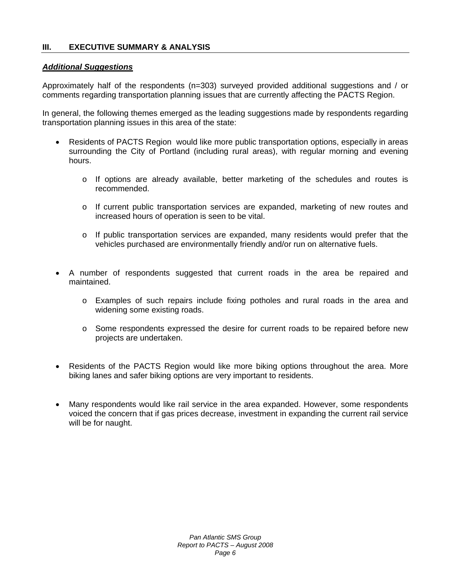## *Additional Suggestions*

Approximately half of the respondents (n=303) surveyed provided additional suggestions and / or comments regarding transportation planning issues that are currently affecting the PACTS Region.

In general, the following themes emerged as the leading suggestions made by respondents regarding transportation planning issues in this area of the state:

- Residents of PACTS Region would like more public transportation options, especially in areas surrounding the City of Portland (including rural areas), with regular morning and evening hours.
	- o If options are already available, better marketing of the schedules and routes is recommended.
	- o If current public transportation services are expanded, marketing of new routes and increased hours of operation is seen to be vital.
	- $\circ$  If public transportation services are expanded, many residents would prefer that the vehicles purchased are environmentally friendly and/or run on alternative fuels.
- A number of respondents suggested that current roads in the area be repaired and maintained.
	- o Examples of such repairs include fixing potholes and rural roads in the area and widening some existing roads.
	- o Some respondents expressed the desire for current roads to be repaired before new projects are undertaken.
- Residents of the PACTS Region would like more biking options throughout the area. More biking lanes and safer biking options are very important to residents.
- Many respondents would like rail service in the area expanded. However, some respondents voiced the concern that if gas prices decrease, investment in expanding the current rail service will be for naught.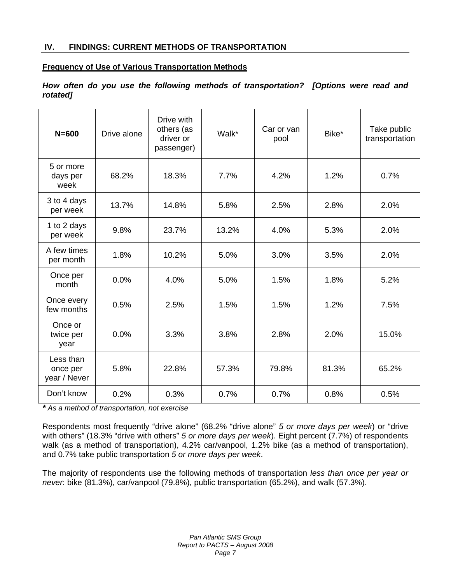## **IV. FINDINGS: CURRENT METHODS OF TRANSPORTATION**

## **Frequency of Use of Various Transportation Methods**

## *How often do you use the following methods of transportation? [Options were read and rotated]*

| $N = 600$                             | Drive alone | Drive with<br>others (as<br>driver or<br>passenger) | Walk* | Car or van<br>pool | Bike* | Take public<br>transportation |
|---------------------------------------|-------------|-----------------------------------------------------|-------|--------------------|-------|-------------------------------|
| 5 or more<br>days per<br>week         | 68.2%       | 18.3%                                               | 7.7%  | 4.2%               | 1.2%  | 0.7%                          |
| 3 to 4 days<br>per week               | 13.7%       | 14.8%                                               | 5.8%  | 2.5%               | 2.8%  | 2.0%                          |
| 1 to 2 days<br>per week               | 9.8%        | 23.7%                                               | 13.2% | 4.0%               | 5.3%  | 2.0%                          |
| A few times<br>per month              | 1.8%        | 10.2%                                               | 5.0%  | 3.0%               | 3.5%  | 2.0%                          |
| Once per<br>month                     | 0.0%        | 4.0%                                                | 5.0%  | 1.5%               | 1.8%  | 5.2%                          |
| Once every<br>few months              | 0.5%        | 2.5%                                                | 1.5%  | 1.5%               | 1.2%  | 7.5%                          |
| Once or<br>twice per<br>year          | 0.0%        | 3.3%                                                | 3.8%  | 2.8%               | 2.0%  | 15.0%                         |
| Less than<br>once per<br>year / Never | 5.8%        | 22.8%                                               | 57.3% | 79.8%              | 81.3% | 65.2%                         |
| Don't know                            | 0.2%        | 0.3%                                                | 0.7%  | 0.7%               | 0.8%  | 0.5%                          |

*\* As a method of transportation, not exercise*

Respondents most frequently "drive alone" (68.2% "drive alone" *5 or more days per week*) or "drive with others" (18.3% "drive with others" *5 or more days per week*). Eight percent (7.7%) of respondents walk (as a method of transportation), 4.2% car/vanpool, 1.2% bike (as a method of transportation), and 0.7% take public transportation *5 or more days per week*.

The majority of respondents use the following methods of transportation *less than once per year or never*: bike (81.3%), car/vanpool (79.8%), public transportation (65.2%), and walk (57.3%).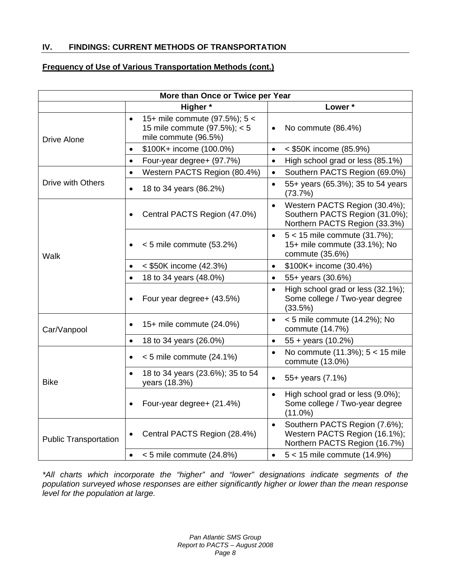## **IV. FINDINGS: CURRENT METHODS OF TRANSPORTATION**

## **Frequency of Use of Various Transportation Methods (cont.)**

| More than Once or Twice per Year |                                                                                                    |                                                                                                               |  |  |  |
|----------------------------------|----------------------------------------------------------------------------------------------------|---------------------------------------------------------------------------------------------------------------|--|--|--|
|                                  | Higher*                                                                                            | Lower*                                                                                                        |  |  |  |
| <b>Drive Alone</b>               | 15+ mile commute (97.5%); 5 <<br>$\bullet$<br>15 mile commute (97.5%); < 5<br>mile commute (96.5%) | No commute (86.4%)                                                                                            |  |  |  |
|                                  | \$100K+ income (100.0%)<br>$\bullet$                                                               | < \$50K income (85.9%)<br>$\bullet$                                                                           |  |  |  |
|                                  | Four-year degree+ (97.7%)<br>$\bullet$                                                             | High school grad or less (85.1%)<br>$\bullet$                                                                 |  |  |  |
|                                  | Western PACTS Region (80.4%)<br>$\bullet$                                                          | Southern PACTS Region (69.0%)<br>$\bullet$                                                                    |  |  |  |
| Drive with Others                | 18 to 34 years (86.2%)<br>$\bullet$                                                                | 55+ years (65.3%); 35 to 54 years<br>$\bullet$<br>(73.7%)                                                     |  |  |  |
|                                  | Central PACTS Region (47.0%)<br>$\bullet$                                                          | Western PACTS Region (30.4%);<br>$\bullet$<br>Southern PACTS Region (31.0%);<br>Northern PACTS Region (33.3%) |  |  |  |
| Walk                             | $< 5$ mile commute (53.2%)<br>$\bullet$                                                            | $5 < 15$ mile commute (31.7%);<br>$\bullet$<br>15+ mile commute (33.1%); No<br>commute (35.6%)                |  |  |  |
|                                  | < \$50K income (42.3%)<br>$\bullet$                                                                | \$100K+ income (30.4%)<br>$\bullet$                                                                           |  |  |  |
|                                  | 18 to 34 years (48.0%)<br>$\bullet$                                                                | 55+ years (30.6%)<br>$\bullet$                                                                                |  |  |  |
|                                  | Four year degree+ (43.5%)                                                                          | High school grad or less (32.1%);<br>$\bullet$<br>Some college / Two-year degree<br>(33.5%)                   |  |  |  |
| Car/Vanpool                      | 15+ mile commute (24.0%)<br>$\bullet$                                                              | < 5 mile commute (14.2%); No<br>$\bullet$<br>commute (14.7%)                                                  |  |  |  |
|                                  | 18 to 34 years (26.0%)<br>$\bullet$                                                                | $55 + \text{years}$ (10.2%)<br>$\bullet$                                                                      |  |  |  |
|                                  | $< 5$ mile commute (24.1%)<br>$\bullet$                                                            | No commute (11.3%); 5 < 15 mile<br>$\bullet$<br>commute (13.0%)                                               |  |  |  |
| <b>Bike</b>                      | 18 to 34 years (23.6%); 35 to 54<br>years (18.3%)                                                  | 55+ years (7.1%)<br>$\bullet$                                                                                 |  |  |  |
|                                  | Four-year degree+ (21.4%)                                                                          | High school grad or less (9.0%);<br>Some college / Two-year degree<br>$(11.0\%)$                              |  |  |  |
| <b>Public Transportation</b>     | Central PACTS Region (28.4%)<br>$\bullet$                                                          | Southern PACTS Region (7.6%);<br>$\bullet$<br>Western PACTS Region (16.1%);<br>Northern PACTS Region (16.7%)  |  |  |  |
|                                  | $< 5$ mile commute (24.8%)<br>$\bullet$                                                            | $5 < 15$ mile commute (14.9%)<br>$\bullet$                                                                    |  |  |  |

*\*All charts which incorporate the "higher" and "lower" designations indicate segments of the population surveyed whose responses are either significantly higher or lower than the mean response level for the population at large.*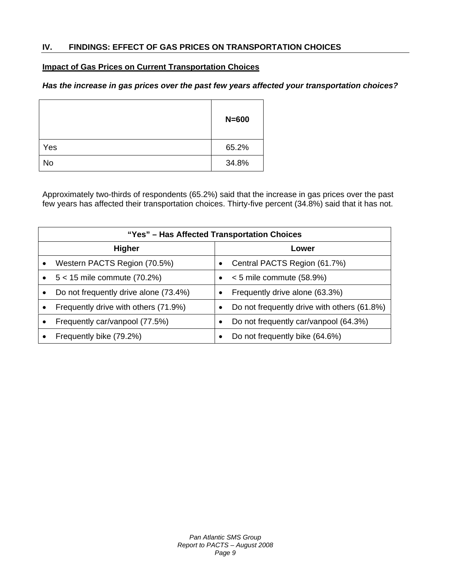## **Impact of Gas Prices on Current Transportation Choices**

## *Has the increase in gas prices over the past few years affected your transportation choices?*

|     | $N = 600$ |
|-----|-----------|
| Yes | 65.2%     |
| No  | 34.8%     |

Approximately two-thirds of respondents (65.2%) said that the increase in gas prices over the past few years has affected their transportation choices. Thirty-five percent (34.8%) said that it has not.

|               | "Yes" - Has Affected Transportation Choices |           |                                             |  |
|---------------|---------------------------------------------|-----------|---------------------------------------------|--|
| <b>Higher</b> |                                             |           | Lower                                       |  |
|               | Western PACTS Region (70.5%)                | $\bullet$ | Central PACTS Region (61.7%)                |  |
|               | $5 < 15$ mile commute (70.2%)               | $\bullet$ | $< 5$ mile commute (58.9%)                  |  |
|               | Do not frequently drive alone (73.4%)       |           | Frequently drive alone (63.3%)              |  |
|               | Frequently drive with others (71.9%)        |           | Do not frequently drive with others (61.8%) |  |
|               | Frequently car/vanpool (77.5%)              |           | Do not frequently car/vanpool (64.3%)       |  |
|               | Frequently bike (79.2%)                     |           | Do not frequently bike (64.6%)              |  |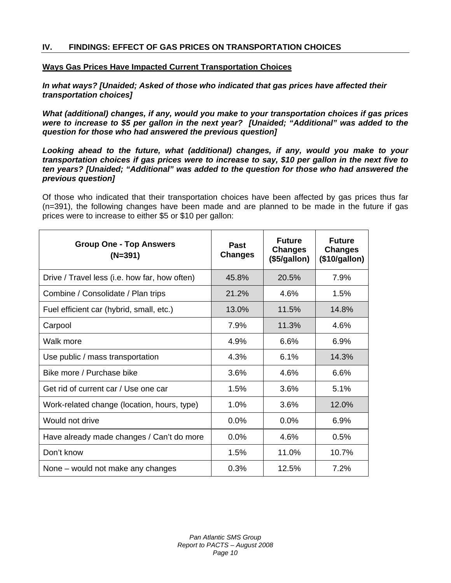## **Ways Gas Prices Have Impacted Current Transportation Choices**

*In what ways? [Unaided; Asked of those who indicated that gas prices have affected their transportation choices]*

*What (additional) changes, if any, would you make to your transportation choices if gas prices were to increase to \$5 per gallon in the next year? [Unaided; "Additional" was added to the question for those who had answered the previous question]* 

*Looking ahead to the future, what (additional) changes, if any, would you make to your transportation choices if gas prices were to increase to say, \$10 per gallon in the next five to ten years? [Unaided; "Additional" was added to the question for those who had answered the previous question]* 

Of those who indicated that their transportation choices have been affected by gas prices thus far (n=391), the following changes have been made and are planned to be made in the future if gas prices were to increase to either \$5 or \$10 per gallon:

| <b>Group One - Top Answers</b><br>$(N=391)$   | <b>Past</b><br><b>Changes</b> | <b>Future</b><br><b>Changes</b><br>(\$5/gallon) | <b>Future</b><br><b>Changes</b><br>(\$10/gallon) |
|-----------------------------------------------|-------------------------------|-------------------------------------------------|--------------------------------------------------|
| Drive / Travel less (i.e. how far, how often) | 45.8%                         | 20.5%                                           | 7.9%                                             |
| Combine / Consolidate / Plan trips            | 21.2%                         | 4.6%                                            | 1.5%                                             |
| Fuel efficient car (hybrid, small, etc.)      | 13.0%                         | 11.5%                                           | 14.8%                                            |
| Carpool                                       | 7.9%                          | 11.3%                                           | 4.6%                                             |
| Walk more                                     | 4.9%                          | 6.6%                                            | 6.9%                                             |
| Use public / mass transportation              | 4.3%                          | 6.1%                                            | 14.3%                                            |
| Bike more / Purchase bike                     | 3.6%                          | 4.6%                                            | 6.6%                                             |
| Get rid of current car / Use one car          | 1.5%                          | 3.6%                                            | 5.1%                                             |
| Work-related change (location, hours, type)   | 1.0%                          | 3.6%                                            | 12.0%                                            |
| Would not drive                               | 0.0%                          | $0.0\%$                                         | 6.9%                                             |
| Have already made changes / Can't do more     | 0.0%                          | 4.6%                                            | 0.5%                                             |
| Don't know                                    | 1.5%                          | 11.0%                                           | 10.7%                                            |
| None – would not make any changes             | 0.3%                          | 12.5%                                           | 7.2%                                             |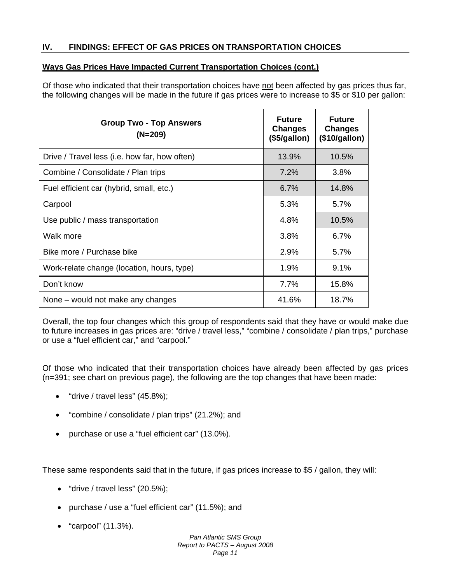## **Ways Gas Prices Have Impacted Current Transportation Choices (cont.)**

Of those who indicated that their transportation choices have not been affected by gas prices thus far, the following changes will be made in the future if gas prices were to increase to \$5 or \$10 per gallon:

| <b>Group Two - Top Answers</b><br>$(N=209)$   | <b>Future</b><br><b>Changes</b><br>(\$5/gallon) | <b>Future</b><br><b>Changes</b><br>(\$10/gallon) |
|-----------------------------------------------|-------------------------------------------------|--------------------------------------------------|
| Drive / Travel less (i.e. how far, how often) | 13.9%                                           | 10.5%                                            |
| Combine / Consolidate / Plan trips            | 7.2%                                            | 3.8%                                             |
| Fuel efficient car (hybrid, small, etc.)      | 6.7%                                            | 14.8%                                            |
| Carpool                                       | 5.3%                                            | $5.7\%$                                          |
| Use public / mass transportation              | 4.8%                                            | 10.5%                                            |
| Walk more                                     | 3.8%                                            | $6.7\%$                                          |
| Bike more / Purchase bike                     | 2.9%                                            | $5.7\%$                                          |
| Work-relate change (location, hours, type)    | 1.9%                                            | 9.1%                                             |
| Don't know                                    | 7.7%                                            | 15.8%                                            |
| None – would not make any changes             | 41.6%                                           | 18.7%                                            |

Overall, the top four changes which this group of respondents said that they have or would make due to future increases in gas prices are: "drive / travel less," "combine / consolidate / plan trips," purchase or use a "fuel efficient car," and "carpool."

Of those who indicated that their transportation choices have already been affected by gas prices (n=391; see chart on previous page), the following are the top changes that have been made:

- "drive / travel less" (45.8%);
- "combine / consolidate / plan trips" (21.2%); and
- purchase or use a "fuel efficient car" (13.0%).

These same respondents said that in the future, if gas prices increase to \$5 / gallon, they will:

- $\bullet$  "drive / travel less" (20.5%);
- purchase / use a "fuel efficient car" (11.5%); and
- "carpool" (11.3%).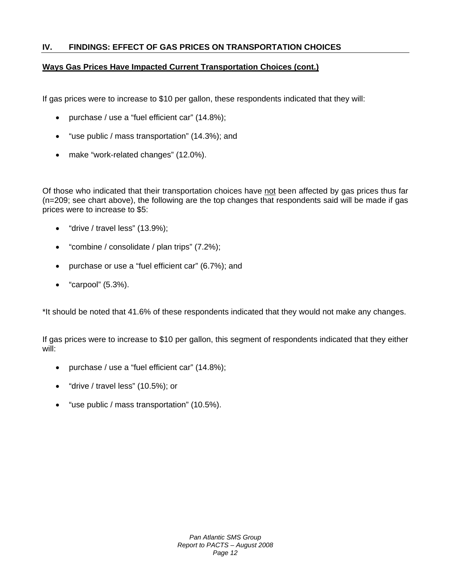## **Ways Gas Prices Have Impacted Current Transportation Choices (cont.)**

If gas prices were to increase to \$10 per gallon, these respondents indicated that they will:

- purchase / use a "fuel efficient car" (14.8%);
- "use public / mass transportation" (14.3%); and
- make "work-related changes" (12.0%).

Of those who indicated that their transportation choices have not been affected by gas prices thus far (n=209; see chart above), the following are the top changes that respondents said will be made if gas prices were to increase to \$5:

- "drive / travel less" (13.9%);
- "combine / consolidate / plan trips" (7.2%);
- purchase or use a "fuel efficient car" (6.7%); and
- "carpool" (5.3%).

\*It should be noted that 41.6% of these respondents indicated that they would not make any changes.

If gas prices were to increase to \$10 per gallon, this segment of respondents indicated that they either will:

- purchase / use a "fuel efficient car" (14.8%);
- "drive / travel less" (10.5%); or
- "use public / mass transportation" (10.5%).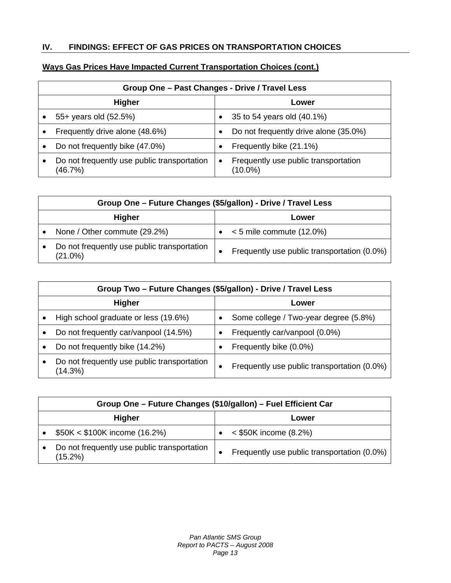## **Ways Gas Prices Have Impacted Current Transportation Choices (cont.)**

| Group One - Past Changes - Drive / Travel Less         |   |                                                 |  |
|--------------------------------------------------------|---|-------------------------------------------------|--|
| <b>Higher</b><br>Lower                                 |   |                                                 |  |
| 55+ years old (52.5%)                                  |   | 35 to 54 years old (40.1%)                      |  |
| Frequently drive alone (48.6%)                         |   | Do not frequently drive alone (35.0%)           |  |
| Do not frequently bike (47.0%)                         |   | Frequently bike (21.1%)                         |  |
| Do not frequently use public transportation<br>(46.7%) | ٠ | Frequently use public transportation<br>(10.0%) |  |

|               | Group One - Future Changes (\$5/gallon) - Drive / Travel Less |  |                                             |  |
|---------------|---------------------------------------------------------------|--|---------------------------------------------|--|
| <b>Higher</b> |                                                               |  | Lower                                       |  |
|               | None / Other commute (29.2%)                                  |  | $\bullet \quad$ < 5 mile commute (12.0%)    |  |
|               | Do not frequently use public transportation<br>$(21.0\%)$     |  | Frequently use public transportation (0.0%) |  |

|               | Group Two - Future Changes (\$5/gallon) - Drive / Travel Less |  |                                             |
|---------------|---------------------------------------------------------------|--|---------------------------------------------|
| <b>Higher</b> |                                                               |  | Lower                                       |
|               | High school graduate or less (19.6%)                          |  | Some college / Two-year degree (5.8%)       |
|               | Do not frequently car/vanpool (14.5%)                         |  | Frequently car/vanpool (0.0%)               |
|               | Do not frequently bike (14.2%)                                |  | Frequently bike (0.0%)                      |
|               | Do not frequently use public transportation<br>(14.3%)        |  | Frequently use public transportation (0.0%) |

|               | Group One - Future Changes (\$10/gallon) - Fuel Efficient Car |  |                                             |  |
|---------------|---------------------------------------------------------------|--|---------------------------------------------|--|
| <b>Higher</b> |                                                               |  | Lower                                       |  |
|               | $$50K < $100K$ income (16.2%)                                 |  | $<$ \$50K income (8.2%)                     |  |
|               | Do not frequently use public transportation<br>$(15.2\%)$     |  | Frequently use public transportation (0.0%) |  |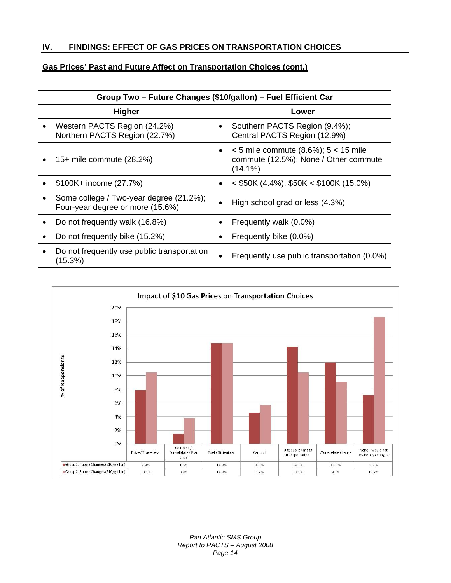## **Gas Prices' Past and Future Affect on Transportation Choices (cont.)**

| Group Two - Future Changes (\$10/gallon) - Fuel Efficient Car               |                                                                                                      |  |  |
|-----------------------------------------------------------------------------|------------------------------------------------------------------------------------------------------|--|--|
| <b>Higher</b>                                                               | Lower                                                                                                |  |  |
| Western PACTS Region (24.2%)<br>Northern PACTS Region (22.7%)               | Southern PACTS Region (9.4%);<br>$\bullet$<br>Central PACTS Region (12.9%)                           |  |  |
| 15+ mile commute (28.2%)                                                    | $<$ 5 mile commute (8.6%); 5 $<$ 15 mile<br>٠<br>commute (12.5%); None / Other commute<br>$(14.1\%)$ |  |  |
| \$100K+ income (27.7%)                                                      | $\langle 4.4\% \rangle$ ; \$50K $\langle 4.4\% \rangle$ ; \$50K $\langle 15.0\% \rangle$<br>٠        |  |  |
| Some college / Two-year degree (21.2%);<br>Four-year degree or more (15.6%) | High school grad or less (4.3%)<br>٠                                                                 |  |  |
| Do not frequently walk (16.8%)                                              | Frequently walk (0.0%)<br>$\bullet$                                                                  |  |  |
| Do not frequently bike (15.2%)                                              | Frequently bike (0.0%)<br>$\bullet$                                                                  |  |  |
| Do not frequently use public transportation<br>(15.3%)                      | Frequently use public transportation (0.0%)                                                          |  |  |



*Pan Atlantic SMS Group Report to PACTS – August 2008 Page 14*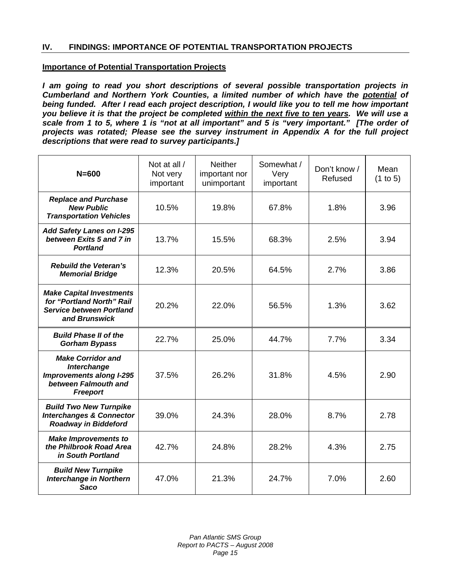## **Importance of Potential Transportation Projects**

*I am going to read you short descriptions of several possible transportation projects in Cumberland and Northern York Counties, a limited number of which have the potential of being funded. After I read each project description, I would like you to tell me how important you believe it is that the project be completed within the next five to ten years. We will use a scale from 1 to 5, where 1 is "not at all important" and 5 is "very important." [The order of projects was rotated; Please see the survey instrument in Appendix A for the full project descriptions that were read to survey participants.]* 

| $N = 600$                                                                                                             | Not at all /<br>Not very<br>important | <b>Neither</b><br>important nor<br>unimportant | Somewhat /<br>Very<br>important | Don't know /<br>Refused | Mean<br>(1 to 5) |
|-----------------------------------------------------------------------------------------------------------------------|---------------------------------------|------------------------------------------------|---------------------------------|-------------------------|------------------|
| <b>Replace and Purchase</b><br><b>New Public</b><br><b>Transportation Vehicles</b>                                    | 10.5%                                 | 19.8%                                          | 67.8%                           | 1.8%                    | 3.96             |
| <b>Add Safety Lanes on I-295</b><br>between Exits 5 and 7 in<br><b>Portland</b>                                       | 13.7%                                 | 15.5%                                          | 68.3%                           | 2.5%                    | 3.94             |
| <b>Rebuild the Veteran's</b><br><b>Memorial Bridge</b>                                                                | 12.3%                                 | 20.5%                                          | 64.5%                           | 2.7%                    | 3.86             |
| <b>Make Capital Investments</b><br>for "Portland North" Rail<br><b>Service between Portland</b><br>and Brunswick      | 20.2%                                 | 22.0%                                          | 56.5%                           | 1.3%                    | 3.62             |
| <b>Build Phase II of the</b><br><b>Gorham Bypass</b>                                                                  | 22.7%                                 | 25.0%                                          | 44.7%                           | 7.7%                    | 3.34             |
| <b>Make Corridor and</b><br>Interchange<br><b>Improvements along I-295</b><br>between Falmouth and<br><b>Freeport</b> | 37.5%                                 | 26.2%                                          | 31.8%                           | 4.5%                    | 2.90             |
| <b>Build Two New Turnpike</b><br><b>Interchanges &amp; Connector</b><br><b>Roadway in Biddeford</b>                   | 39.0%                                 | 24.3%                                          | 28.0%                           | 8.7%                    | 2.78             |
| <b>Make Improvements to</b><br>the Philbrook Road Area<br>in South Portland                                           | 42.7%                                 | 24.8%                                          | 28.2%                           | 4.3%                    | 2.75             |
| <b>Build New Turnpike</b><br><b>Interchange in Northern</b><br><b>Saco</b>                                            | 47.0%                                 | 21.3%                                          | 24.7%                           | 7.0%                    | 2.60             |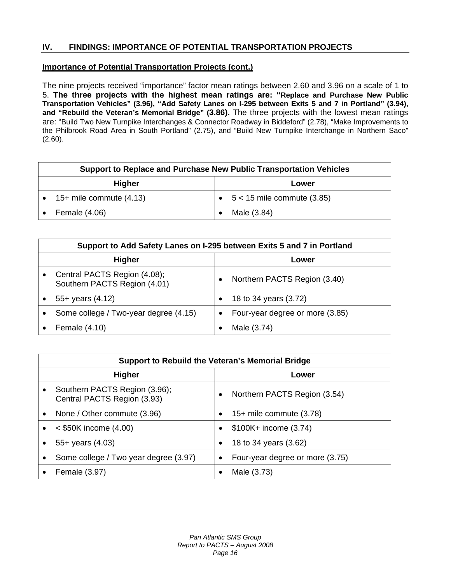## **Importance of Potential Transportation Projects (cont.)**

The nine projects received "importance" factor mean ratings between 2.60 and 3.96 on a scale of 1 to 5. **The three projects with the highest mean ratings are: "Replace and Purchase New Public Transportation Vehicles" (3.96), "Add Safety Lanes on I-295 between Exits 5 and 7 in Portland" (3.94), and "Rebuild the Veteran's Memorial Bridge" (3.86).** The three projects with the lowest mean ratings are: "Build Two New Turnpike Interchanges & Connector Roadway in Biddeford" (2.78), "Make Improvements to the Philbrook Road Area in South Portland" (2.75), and "Build New Turnpike Interchange in Northern Saco"  $(2.60)$ .

|        | Support to Replace and Purchase New Public Transportation Vehicles |       |                                      |  |
|--------|--------------------------------------------------------------------|-------|--------------------------------------|--|
| Higher |                                                                    | Lower |                                      |  |
|        | 15+ mile commute $(4.13)$                                          |       | $\bullet$ 5 < 15 mile commute (3.85) |  |
|        | Female (4.06)                                                      |       | Male (3.84)                          |  |

| Support to Add Safety Lanes on I-295 between Exits 5 and 7 in Portland |           |                                 |  |
|------------------------------------------------------------------------|-----------|---------------------------------|--|
| <b>Higher</b>                                                          |           | Lower                           |  |
| Central PACTS Region (4.08);<br>Southern PACTS Region (4.01)           |           | Northern PACTS Region (3.40)    |  |
| $55+$ years $(4.12)$                                                   |           | 18 to 34 years (3.72)           |  |
| Some college / Two-year degree (4.15)                                  | $\bullet$ | Four-year degree or more (3.85) |  |
| Female (4.10)                                                          |           | Male (3.74)                     |  |

|               | Support to Rebuild the Veteran's Memorial Bridge             |           |                                 |  |
|---------------|--------------------------------------------------------------|-----------|---------------------------------|--|
| <b>Higher</b> |                                                              | Lower     |                                 |  |
|               | Southern PACTS Region (3.96);<br>Central PACTS Region (3.93) |           | Northern PACTS Region (3.54)    |  |
| ٠             | None / Other commute (3.96)                                  | $\bullet$ | $15+$ mile commute $(3.78)$     |  |
|               | $<$ \$50K income (4.00)                                      | ٠         | \$100K+ income (3.74)           |  |
|               | $55+$ years $(4.03)$                                         | $\bullet$ | 18 to 34 years (3.62)           |  |
|               | Some college / Two year degree (3.97)                        | $\bullet$ | Four-year degree or more (3.75) |  |
|               | Female (3.97)                                                |           | Male (3.73)                     |  |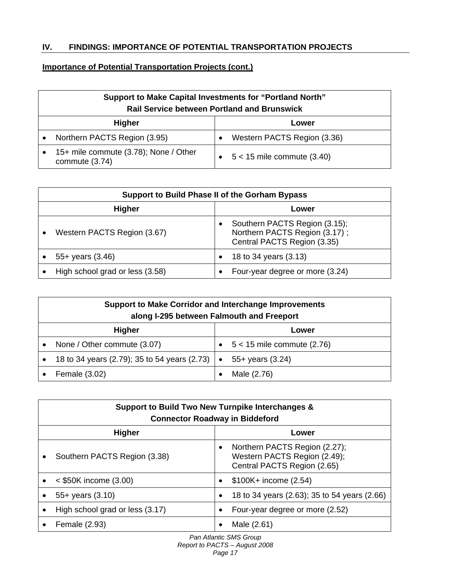## **Importance of Potential Transportation Projects (cont.)**

| <b>Support to Make Capital Investments for "Portland North"</b><br><b>Rail Service between Portland and Brunswick</b> |                                |  |  |
|-----------------------------------------------------------------------------------------------------------------------|--------------------------------|--|--|
| <b>Higher</b><br>Lower                                                                                                |                                |  |  |
| Northern PACTS Region (3.95)                                                                                          | Western PACTS Region (3.36)    |  |  |
| 15+ mile commute (3.78); None / Other<br>commute (3.74)                                                               | $5 < 15$ mile commute $(3.40)$ |  |  |

| Support to Build Phase II of the Gorham Bypass |  |                                                                                               |  |  |
|------------------------------------------------|--|-----------------------------------------------------------------------------------------------|--|--|
| <b>Higher</b><br>Lower                         |  |                                                                                               |  |  |
| Western PACTS Region (3.67)                    |  | Southern PACTS Region (3.15);<br>Northern PACTS Region (3.17);<br>Central PACTS Region (3.35) |  |  |
| $55+$ years $(3.46)$                           |  | 18 to 34 years (3.13)                                                                         |  |  |
| High school grad or less (3.58)                |  | Four-year degree or more (3.24)                                                               |  |  |

|               | <b>Support to Make Corridor and Interchange Improvements</b><br>along I-295 between Falmouth and Freeport |  |                              |  |
|---------------|-----------------------------------------------------------------------------------------------------------|--|------------------------------|--|
| <b>Higher</b> |                                                                                                           |  | Lower                        |  |
|               | None / Other commute (3.07)                                                                               |  | $5 < 15$ mile commute (2.76) |  |
|               | 18 to 34 years (2.79); 35 to 54 years (2.73) $\bullet$                                                    |  | $55+$ years $(3.24)$         |  |
|               | Female (3.02)                                                                                             |  | Male (2.76)                  |  |

| Support to Build Two New Turnpike Interchanges &<br><b>Connector Roadway in Biddeford</b> |           |                                                                                              |  |  |
|-------------------------------------------------------------------------------------------|-----------|----------------------------------------------------------------------------------------------|--|--|
| <b>Higher</b><br>Lower                                                                    |           |                                                                                              |  |  |
| Southern PACTS Region (3.38)                                                              | $\bullet$ | Northern PACTS Region (2.27);<br>Western PACTS Region (2.49);<br>Central PACTS Region (2.65) |  |  |
| $<$ \$50K income (3.00)                                                                   |           | $$100K + income (2.54)$                                                                      |  |  |
| $55+$ years $(3.10)$                                                                      | $\bullet$ | 18 to 34 years (2.63); 35 to 54 years (2.66)                                                 |  |  |
| High school grad or less (3.17)                                                           |           | Four-year degree or more (2.52)                                                              |  |  |
| Female (2.93)                                                                             |           | Male (2.61)                                                                                  |  |  |

*Pan Atlantic SMS Group Report to PACTS – August 2008* 

*Page 17*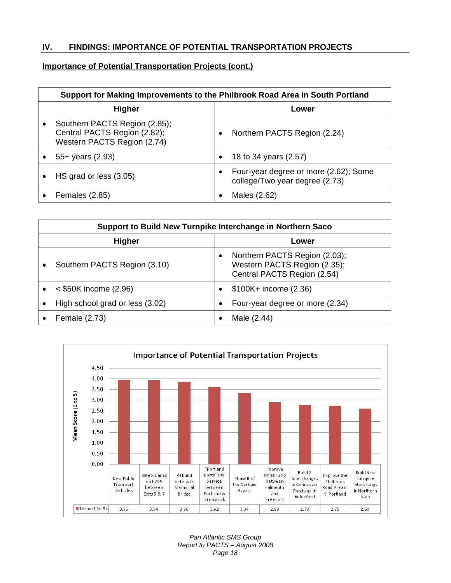## **Importance of Potential Transportation Projects (cont.)**

| Support for Making Improvements to the Philbrook Road Area in South Portland                 |           |                                                                         |  |
|----------------------------------------------------------------------------------------------|-----------|-------------------------------------------------------------------------|--|
| <b>Higher</b>                                                                                |           | Lower                                                                   |  |
| Southern PACTS Region (2.85);<br>Central PACTS Region (2.82);<br>Western PACTS Region (2.74) |           | Northern PACTS Region (2.24)                                            |  |
| $55+$ years $(2.93)$                                                                         | $\bullet$ | 18 to 34 years (2.57)                                                   |  |
| HS grad or less (3.05)                                                                       | $\bullet$ | Four-year degree or more (2.62); Some<br>college/Two year degree (2.73) |  |
| <b>Females (2.85)</b>                                                                        |           | Males (2.62)                                                            |  |

| Support to Build New Turnpike Interchange in Northern Saco |           |                                                                                              |  |
|------------------------------------------------------------|-----------|----------------------------------------------------------------------------------------------|--|
| <b>Higher</b>                                              | Lower     |                                                                                              |  |
| Southern PACTS Region (3.10)                               |           | Northern PACTS Region (2.03);<br>Western PACTS Region (2.35);<br>Central PACTS Region (2.54) |  |
| $<$ \$50K income (2.96)                                    | $\bullet$ | $$100K + income (2.36)$                                                                      |  |
| High school grad or less (3.02)                            | $\bullet$ | Four-year degree or more (2.34)                                                              |  |
| Female (2.73)                                              |           | Male (2.44)                                                                                  |  |



*Pan Atlantic SMS Group Report to PACTS – August 2008 Page 18*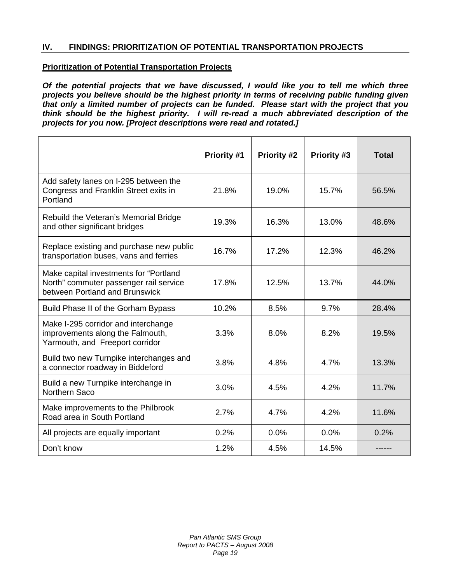## **Prioritization of Potential Transportation Projects**

*Of the potential projects that we have discussed, I would like you to tell me which three projects you believe should be the highest priority in terms of receiving public funding given that only a limited number of projects can be funded. Please start with the project that you think should be the highest priority. I will re-read a much abbreviated description of the projects for you now. [Project descriptions were read and rotated.]* 

|                                                                                                                    | Priority #1 | <b>Priority #2</b> | Priority #3 | <b>Total</b> |
|--------------------------------------------------------------------------------------------------------------------|-------------|--------------------|-------------|--------------|
| Add safety lanes on I-295 between the<br>Congress and Franklin Street exits in<br>Portland                         | 21.8%       | 19.0%              | 15.7%       | 56.5%        |
| Rebuild the Veteran's Memorial Bridge<br>and other significant bridges                                             | 19.3%       | 16.3%              | 13.0%       | 48.6%        |
| Replace existing and purchase new public<br>transportation buses, vans and ferries                                 | 16.7%       | 17.2%              | 12.3%       | 46.2%        |
| Make capital investments for "Portland<br>North" commuter passenger rail service<br>between Portland and Brunswick | 17.8%       | 12.5%              | 13.7%       | 44.0%        |
| Build Phase II of the Gorham Bypass                                                                                | 10.2%       | 8.5%               | 9.7%        | 28.4%        |
| Make I-295 corridor and interchange<br>improvements along the Falmouth,<br>Yarmouth, and Freeport corridor         | 3.3%        | 8.0%               | 8.2%        | 19.5%        |
| Build two new Turnpike interchanges and<br>a connector roadway in Biddeford                                        | 3.8%        | 4.8%               | 4.7%        | 13.3%        |
| Build a new Turnpike interchange in<br>Northern Saco                                                               | 3.0%        | 4.5%               | 4.2%        | 11.7%        |
| Make improvements to the Philbrook<br>Road area in South Portland                                                  | 2.7%        | 4.7%               | 4.2%        | 11.6%        |
| All projects are equally important                                                                                 | 0.2%        | 0.0%               | 0.0%        | 0.2%         |
| Don't know                                                                                                         | 1.2%        | 4.5%               | 14.5%       |              |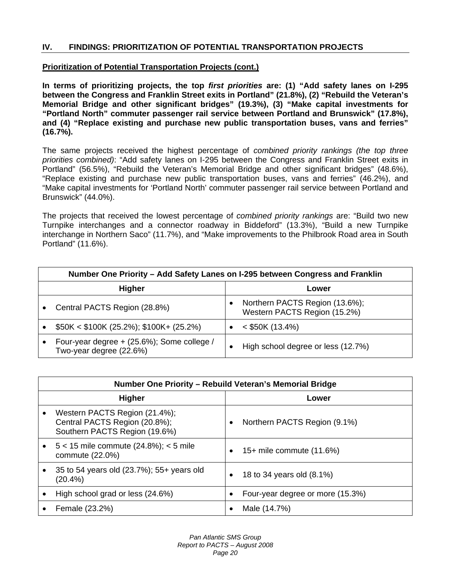## **Prioritization of Potential Transportation Projects (cont.)**

**In terms of prioritizing projects, the top** *first priorities* **are: (1) "Add safety lanes on I-295 between the Congress and Franklin Street exits in Portland" (21.8%), (2) "Rebuild the Veteran's Memorial Bridge and other significant bridges" (19.3%), (3) "Make capital investments for "Portland North" commuter passenger rail service between Portland and Brunswick" (17.8%), and (4) "Replace existing and purchase new public transportation buses, vans and ferries" (16.7%).** 

The same projects received the highest percentage of *combined priority rankings (the top three priorities combined)*: "Add safety lanes on I-295 between the Congress and Franklin Street exits in Portland" (56.5%), "Rebuild the Veteran's Memorial Bridge and other significant bridges" (48.6%), "Replace existing and purchase new public transportation buses, vans and ferries" (46.2%), and "Make capital investments for 'Portland North' commuter passenger rail service between Portland and Brunswick" (44.0%).

The projects that received the lowest percentage of *combined priority rankings* are: "Build two new Turnpike interchanges and a connector roadway in Biddeford" (13.3%), "Build a new Turnpike interchange in Northern Saco" (11.7%), and "Make improvements to the Philbrook Road area in South Portland" (11.6%).

|               | Number One Priority – Add Safety Lanes on I-295 between Congress and Franklin |   |                                                                |  |
|---------------|-------------------------------------------------------------------------------|---|----------------------------------------------------------------|--|
| <b>Higher</b> |                                                                               |   | Lower                                                          |  |
|               | Central PACTS Region (28.8%)                                                  |   | Northern PACTS Region (13.6%);<br>Western PACTS Region (15.2%) |  |
|               | $$50K < $100K (25.2\%)$ ; \$100K+ (25.2%)                                     |   | $<$ \$50K (13.4%)                                              |  |
|               | Four-year degree + (25.6%); Some college /<br>Two-year degree (22.6%)         | ٠ | High school degree or less (12.7%)                             |  |

| Number One Priority - Rebuild Veteran's Memorial Bridge                                         |           |                                  |
|-------------------------------------------------------------------------------------------------|-----------|----------------------------------|
| <b>Higher</b><br>Lower                                                                          |           |                                  |
| Western PACTS Region (21.4%);<br>Central PACTS Region (20.8%);<br>Southern PACTS Region (19.6%) | $\bullet$ | Northern PACTS Region (9.1%)     |
| $5 < 15$ mile commute (24.8%); $< 5$ mile<br>commute (22.0%)                                    |           | 15+ mile commute (11.6%)         |
| 35 to 54 years old (23.7%); 55+ years old<br>$(20.4\%)$                                         |           | 18 to 34 years old (8.1%)        |
| High school grad or less (24.6%)                                                                | $\bullet$ | Four-year degree or more (15.3%) |
| Female (23.2%)                                                                                  |           | Male (14.7%)                     |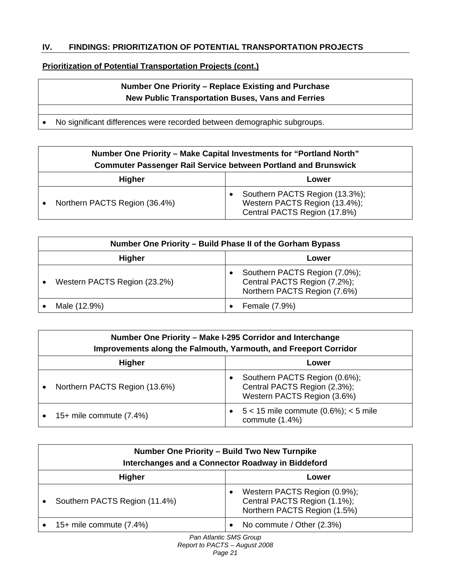## **Prioritization of Potential Transportation Projects (cont.)**

## **Number One Priority – Replace Existing and Purchase New Public Transportation Buses, Vans and Ferries**

• No significant differences were recorded between demographic subgroups.

| Number One Priority – Make Capital Investments for "Portland North"<br><b>Commuter Passenger Rail Service between Portland and Brunswick</b> |  |                                                                                                 |  |
|----------------------------------------------------------------------------------------------------------------------------------------------|--|-------------------------------------------------------------------------------------------------|--|
| <b>Higher</b><br>Lower                                                                                                                       |  |                                                                                                 |  |
| Northern PACTS Region (36.4%)                                                                                                                |  | Southern PACTS Region (13.3%);<br>Western PACTS Region (13.4%);<br>Central PACTS Region (17.8%) |  |

| Number One Priority – Build Phase II of the Gorham Bypass |  |                                                                                               |  |
|-----------------------------------------------------------|--|-----------------------------------------------------------------------------------------------|--|
| <b>Higher</b><br>Lower                                    |  |                                                                                               |  |
| Western PACTS Region (23.2%)                              |  | Southern PACTS Region (7.0%);<br>Central PACTS Region (7.2%);<br>Northern PACTS Region (7.6%) |  |
| Male (12.9%)                                              |  | Female (7.9%)                                                                                 |  |

|           | Number One Priority - Make I-295 Corridor and Interchange<br>Improvements along the Falmouth, Yarmouth, and Freeport Corridor |  |                                                                                              |  |
|-----------|-------------------------------------------------------------------------------------------------------------------------------|--|----------------------------------------------------------------------------------------------|--|
|           | <b>Higher</b><br>Lower                                                                                                        |  |                                                                                              |  |
| $\bullet$ | Northern PACTS Region (13.6%)                                                                                                 |  | Southern PACTS Region (0.6%);<br>Central PACTS Region (2.3%);<br>Western PACTS Region (3.6%) |  |
|           | 15+ mile commute $(7.4%)$                                                                                                     |  | $5 < 15$ mile commute $(0.6\%)$ ; $< 5$ mile<br>commute (1.4%)                               |  |

| Number One Priority - Build Two New Turnpike<br><b>Interchanges and a Connector Roadway in Biddeford</b> |           |                                                                                              |  |
|----------------------------------------------------------------------------------------------------------|-----------|----------------------------------------------------------------------------------------------|--|
| <b>Higher</b><br>Lower                                                                                   |           |                                                                                              |  |
| Southern PACTS Region (11.4%)                                                                            | $\bullet$ | Western PACTS Region (0.9%);<br>Central PACTS Region (1.1%);<br>Northern PACTS Region (1.5%) |  |
| 15+ mile commute $(7.4\%)$                                                                               | $\bullet$ | No commute / Other (2.3%)                                                                    |  |
| Pan Atlantic SMS Group                                                                                   |           |                                                                                              |  |

*Report to PACTS – August 2008*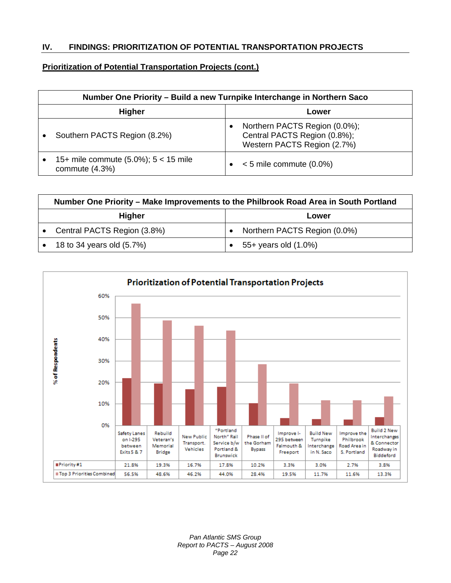## **Prioritization of Potential Transportation Projects (cont.)**

| Number One Priority – Build a new Turnpike Interchange in Northern Saco |  |                                                                                              |
|-------------------------------------------------------------------------|--|----------------------------------------------------------------------------------------------|
| <b>Higher</b><br>Lower                                                  |  |                                                                                              |
| Southern PACTS Region (8.2%)                                            |  | Northern PACTS Region (0.0%);<br>Central PACTS Region (0.8%);<br>Western PACTS Region (2.7%) |
| 15+ mile commute $(5.0\%)$ ; 5 < 15 mile<br>commute $(4.3%)$            |  | $< 5$ mile commute (0.0%)                                                                    |

|                        | Number One Priority – Make Improvements to the Philbrook Road Area in South Portland |  |                              |
|------------------------|--------------------------------------------------------------------------------------|--|------------------------------|
| <b>Higher</b><br>Lower |                                                                                      |  |                              |
|                        | Central PACTS Region (3.8%)                                                          |  | Northern PACTS Region (0.0%) |
|                        | 18 to 34 years old (5.7%)                                                            |  | 55+ years old (1.0%)         |

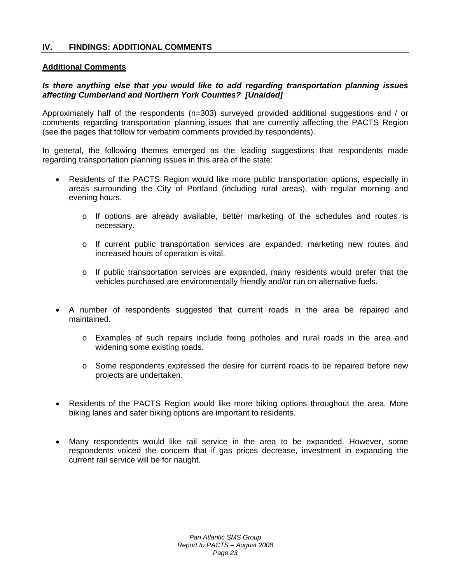## **Additional Comments**

## *Is there anything else that you would like to add regarding transportation planning issues affecting Cumberland and Northern York Counties? [Unaided]*

Approximately half of the respondents (n=303) surveyed provided additional suggestions and / or comments regarding transportation planning issues that are currently affecting the PACTS Region (see the pages that follow for verbatim comments provided by respondents).

In general, the following themes emerged as the leading suggestions that respondents made regarding transportation planning issues in this area of the state:

- Residents of the PACTS Region would like more public transportation options, especially in areas surrounding the City of Portland (including rural areas), with regular morning and evening hours.
	- $\circ$  If options are already available, better marketing of the schedules and routes is necessary.
	- o If current public transportation services are expanded, marketing new routes and increased hours of operation is vital.
	- $\circ$  If public transportation services are expanded, many residents would prefer that the vehicles purchased are environmentally friendly and/or run on alternative fuels.
- A number of respondents suggested that current roads in the area be repaired and maintained.
	- o Examples of such repairs include fixing potholes and rural roads in the area and widening some existing roads.
	- o Some respondents expressed the desire for current roads to be repaired before new projects are undertaken.
- Residents of the PACTS Region would like more biking options throughout the area. More biking lanes and safer biking options are important to residents.
- Many respondents would like rail service in the area to be expanded. However, some respondents voiced the concern that if gas prices decrease, investment in expanding the current rail service will be for naught.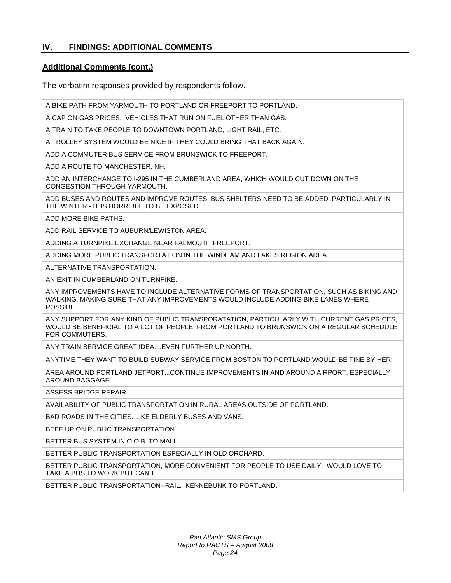## **Additional Comments (cont.)**

The verbatim responses provided by respondents follow.

A BIKE PATH FROM YARMOUTH TO PORTLAND OR FREEPORT TO PORTLAND.

A CAP ON GAS PRICES. VEHICLES THAT RUN ON FUEL OTHER THAN GAS.

A TRAIN TO TAKE PEOPLE TO DOWNTOWN PORTLAND, LIGHT RAIL, ETC.

A TROLLEY SYSTEM WOULD BE NICE IF THEY COULD BRING THAT BACK AGAIN.

ADD A COMMUTER BUS SERVICE FROM BRUNSWICK TO FREEPORT.

ADD A ROUTE TO MANCHESTER, NH.

ADD AN INTERCHANGE TO I-295 IN THE CUMBERLAND AREA, WHICH WOULD CUT DOWN ON THE CONGESTION THROUGH YARMOUTH.

ADD BUSES AND ROUTES AND IMPROVE ROUTES; BUS SHELTERS NEED TO BE ADDED, PARTICULARLY IN THE WINTER - IT IS HORRIBLE TO BE EXPOSED.

ADD MORE BIKE PATHS.

ADD RAIL SERVICE TO AUBURN/LEWISTON AREA.

ADDING A TURNPIKE EXCHANGE NEAR FALMOUTH FREEPORT.

ADDING MORE PUBLIC TRANSPORTATION IN THE WINDHAM AND LAKES REGION AREA.

ALTERNATIVE TRANSPORTATION.

AN EXIT IN CUMBERLAND ON TURNPIKE.

ANY IMPROVEMENTS HAVE TO INCLUDE ALTERNATIVE FORMS OF TRANSPORTATION, SUCH AS BIKING AND WALKING. MAKING SURE THAT ANY IMPROVEMENTS WOULD INCLUDE ADDING BIKE LANES WHERE POSSIBLE.

ANY SUPPORT FOR ANY KIND OF PUBLIC TRANSPORATATION, PARTICULARLY WITH CURRENT GAS PRICES, WOULD BE BENEFICIAL TO A LOT OF PEOPLE; FROM PORTLAND TO BRUNSWICK ON A REGULAR SCHEDULE FOR COMMUTERS.

ANY TRAIN SERVICE GREAT IDEA....EVEN FURTHER UP NORTH.

ANYTIME THEY WANT TO BUILD SUBWAY SERVICE FROM BOSTON TO PORTLAND WOULD BE FINE BY HER!

AREA AROUND PORTLAND JETPORT...CONTINUE IMPROVEMENTS IN AND AROUND AIRPORT, ESPECIALLY AROUND BAGGAGE.

ASSESS BRIDGE REPAIR.

AVAILABILITY OF PUBLIC TRANSPORTATION IN RURAL AREAS OUTSIDE OF PORTLAND.

BAD ROADS IN THE CITIES. LIKE ELDERLY BUSES AND VANS.

BEEF UP ON PUBLIC TRANSPORTATION.

BETTER BUS SYSTEM IN O.O.B. TO MALL.

BETTER PUBLIC TRANSPORTATION ESPECIALLY IN OLD ORCHARD.

BETTER PUBLIC TRANSPORTATION, MORE CONVENIENT FOR PEOPLE TO USE DAILY. WOULD LOVE TO TAKE A BUS TO WORK BUT CAN'T.

BETTER PUBLIC TRANSPORTATION--RAIL. KENNEBUNK TO PORTLAND.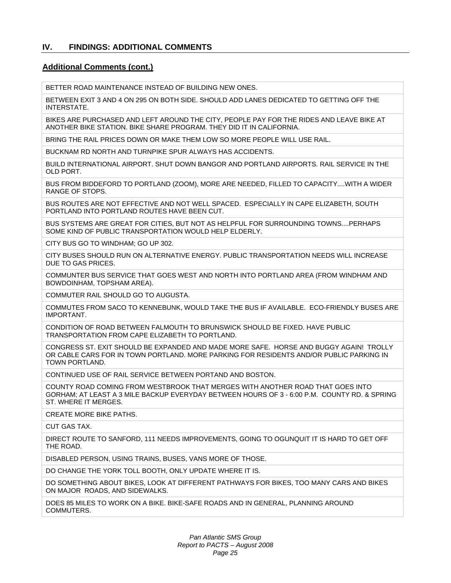#### **Additional Comments (cont.)**

BETTER ROAD MAINTENANCE INSTEAD OF BUILDING NEW ONES.

BETWEEN EXIT 3 AND 4 ON 295 ON BOTH SIDE. SHOULD ADD LANES DEDICATED TO GETTING OFF THE INTERSTATE.

BIKES ARE PURCHASED AND LEFT AROUND THE CITY, PEOPLE PAY FOR THE RIDES AND LEAVE BIKE AT ANOTHER BIKE STATION. BIKE SHARE PROGRAM. THEY DID IT IN CALIFORNIA.

BRING THE RAIL PRICES DOWN OR MAKE THEM LOW SO MORE PEOPLE WILL USE RAIL.

BUCKNAM RD NORTH AND TURNPIKE SPUR ALWAYS HAS ACCIDENTS.

BUILD INTERNATIONAL AIRPORT. SHUT DOWN BANGOR AND PORTLAND AIRPORTS. RAIL SERVICE IN THE OLD PORT.

BUS FROM BIDDEFORD TO PORTLAND (ZOOM), MORE ARE NEEDED, FILLED TO CAPACITY....WITH A WIDER RANGE OF STOPS.

BUS ROUTES ARE NOT EFFECTIVE AND NOT WELL SPACED. ESPECIALLY IN CAPE ELIZABETH, SOUTH PORTLAND INTO PORTLAND ROUTES HAVE BEEN CUT.

BUS SYSTEMS ARE GREAT FOR CITIES, BUT NOT AS HELPFUL FOR SURROUNDING TOWNS....PERHAPS SOME KIND OF PUBLIC TRANSPORTATION WOULD HELP ELDERLY.

CITY BUS GO TO WINDHAM; GO UP 302.

CITY BUSES SHOULD RUN ON ALTERNATIVE ENERGY. PUBLIC TRANSPORTATION NEEDS WILL INCREASE DUE TO GAS PRICES.

COMMUNTER BUS SERVICE THAT GOES WEST AND NORTH INTO PORTLAND AREA (FROM WINDHAM AND BOWDOINHAM, TOPSHAM AREA).

COMMUTER RAIL SHOULD GO TO AUGUSTA.

COMMUTES FROM SACO TO KENNEBUNK, WOULD TAKE THE BUS IF AVAILABLE. ECO-FRIENDLY BUSES ARE IMPORTANT.

CONDITION OF ROAD BETWEEN FALMOUTH TO BRUNSWICK SHOULD BE FIXED. HAVE PUBLIC TRANSPORTATION FROM CAPE ELIZABETH TO PORTLAND.

CONGRESS ST. EXIT SHOULD BE EXPANDED AND MADE MORE SAFE. HORSE AND BUGGY AGAIN! TROLLY OR CABLE CARS FOR IN TOWN PORTLAND. MORE PARKING FOR RESIDENTS AND/OR PUBLIC PARKING IN TOWN PORTLAND.

CONTINUED USE OF RAIL SERVICE BETWEEN PORTAND AND BOSTON.

COUNTY ROAD COMING FROM WESTBROOK THAT MERGES WITH ANOTHER ROAD THAT GOES INTO GORHAM; AT LEAST A 3 MILE BACKUP EVERYDAY BETWEEN HOURS OF 3 - 6:00 P.M. COUNTY RD. & SPRING ST. WHERE IT MERGES.

CREATE MORE BIKE PATHS.

CUT GAS TAX.

DIRECT ROUTE TO SANFORD, 111 NEEDS IMPROVEMENTS, GOING TO OGUNQUIT IT IS HARD TO GET OFF THE ROAD.

DISABLED PERSON, USING TRAINS, BUSES, VANS MORE OF THOSE.

DO CHANGE THE YORK TOLL BOOTH, ONLY UPDATE WHERE IT IS.

DO SOMETHING ABOUT BIKES, LOOK AT DIFFERENT PATHWAYS FOR BIKES, TOO MANY CARS AND BIKES ON MAJOR ROADS, AND SIDEWALKS.

DOES 85 MILES TO WORK ON A BIKE. BIKE-SAFE ROADS AND IN GENERAL, PLANNING AROUND COMMUTERS.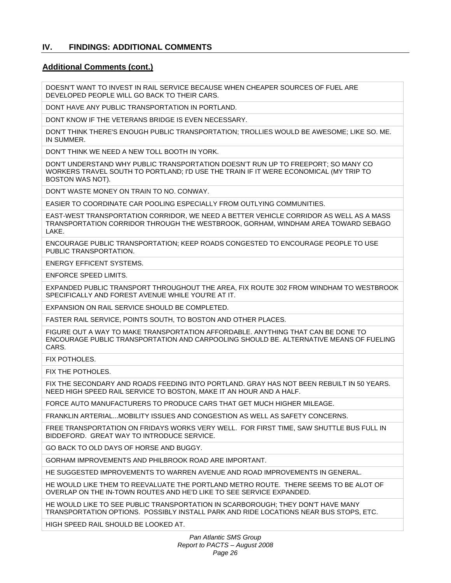#### **Additional Comments (cont.)**

DOESN'T WANT TO INVEST IN RAIL SERVICE BECAUSE WHEN CHEAPER SOURCES OF FUEL ARE DEVELOPED PEOPLE WILL GO BACK TO THEIR CARS.

DONT HAVE ANY PUBLIC TRANSPORTATION IN PORTLAND.

DONT KNOW IF THE VETERANS BRIDGE IS EVEN NECESSARY.

DON'T THINK THERE'S ENOUGH PUBLIC TRANSPORTATION; TROLLIES WOULD BE AWESOME; LIKE SO. ME. IN SUMMER.

DON'T THINK WE NEED A NEW TOLL BOOTH IN YORK.

DON'T UNDERSTAND WHY PUBLIC TRANSPORTATION DOESN'T RUN UP TO FREEPORT; SO MANY CO WORKERS TRAVEL SOUTH TO PORTLAND; I'D USE THE TRAIN IF IT WERE ECONOMICAL (MY TRIP TO BOSTON WAS NOT).

DON'T WASTE MONEY ON TRAIN TO NO. CONWAY.

EASIER TO COORDINATE CAR POOLING ESPECIALLY FROM OUTLYING COMMUNITIES.

EAST-WEST TRANSPORTATION CORRIDOR, WE NEED A BETTER VEHICLE CORRIDOR AS WELL AS A MASS TRANSPORTATION CORRIDOR THROUGH THE WESTBROOK, GORHAM, WINDHAM AREA TOWARD SEBAGO LAKE.

ENCOURAGE PUBLIC TRANSPORTATION; KEEP ROADS CONGESTED TO ENCOURAGE PEOPLE TO USE PUBLIC TRANSPORTATION.

ENERGY EFFICENT SYSTEMS.

ENFORCE SPEED LIMITS.

EXPANDED PUBLIC TRANSPORT THROUGHOUT THE AREA, FIX ROUTE 302 FROM WINDHAM TO WESTBROOK SPECIFICALLY AND FOREST AVENUE WHILE YOU'RE AT IT.

EXPANSION ON RAIL SERVICE SHOULD BE COMPLETED.

FASTER RAIL SERVICE, POINTS SOUTH, TO BOSTON AND OTHER PLACES.

FIGURE OUT A WAY TO MAKE TRANSPORTATION AFFORDABLE. ANYTHING THAT CAN BE DONE TO ENCOURAGE PUBLIC TRANSPORTATION AND CARPOOLING SHOULD BE. ALTERNATIVE MEANS OF FUELING CARS.

FIX POTHOLES.

FIX THE POTHOLES.

FIX THE SECONDARY AND ROADS FEEDING INTO PORTLAND. GRAY HAS NOT BEEN REBUILT IN 50 YEARS. NEED HIGH SPEED RAIL SERVICE TO BOSTON, MAKE IT AN HOUR AND A HALF.

FORCE AUTO MANUFACTURERS TO PRODUCE CARS THAT GET MUCH HIGHER MILEAGE.

FRANKLIN ARTERIAL...MOBILITY ISSUES AND CONGESTION AS WELL AS SAFETY CONCERNS.

FREE TRANSPORTATION ON FRIDAYS WORKS VERY WELL. FOR FIRST TIME, SAW SHUTTLE BUS FULL IN BIDDEFORD. GREAT WAY TO INTRODUCE SERVICE.

GO BACK TO OLD DAYS OF HORSE AND BUGGY.

GORHAM IMPROVEMENTS AND PHILBROOK ROAD ARE IMPORTANT.

HE SUGGESTED IMPROVEMENTS TO WARREN AVENUE AND ROAD IMPROVEMENTS IN GENERAL.

HE WOULD LIKE THEM TO REEVALUATE THE PORTLAND METRO ROUTE. THERE SEEMS TO BE ALOT OF OVERLAP ON THE IN-TOWN ROUTES AND HE'D LIKE TO SEE SERVICE EXPANDED.

HE WOULD LIKE TO SEE PUBLIC TRANSPORTATION IN SCARBOROUGH; THEY DON'T HAVE MANY TRANSPORTATION OPTIONS. POSSIBLY INSTALL PARK AND RIDE LOCATIONS NEAR BUS STOPS, ETC.

HIGH SPEED RAIL SHOULD BE LOOKED AT.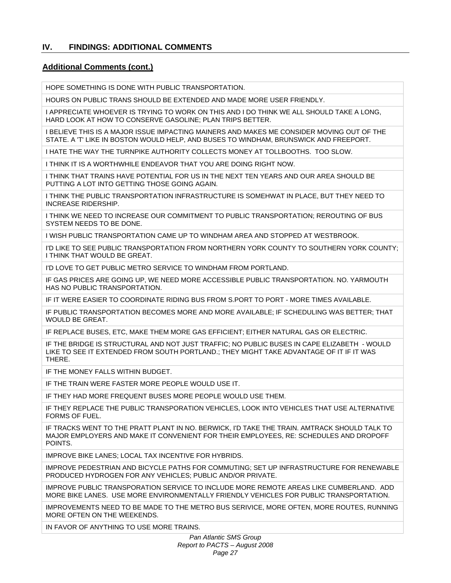## **Additional Comments (cont.)**

HOPE SOMETHING IS DONE WITH PUBLIC TRANSPORTATION.

HOURS ON PUBLIC TRANS SHOULD BE EXTENDED AND MADE MORE USER FRIENDLY.

I APPRECIATE WHOEVER IS TRYING TO WORK ON THIS AND I DO THINK WE ALL SHOULD TAKE A LONG, HARD LOOK AT HOW TO CONSERVE GASOLINE; PLAN TRIPS BETTER.

I BELIEVE THIS IS A MAJOR ISSUE IMPACTING MAINERS AND MAKES ME CONSIDER MOVING OUT OF THE STATE. A 'T' LIKE IN BOSTON WOULD HELP, AND BUSES TO WINDHAM, BRUNSWICK AND FREEPORT.

I HATE THE WAY THE TURNPIKE AUTHORITY COLLECTS MONEY AT TOLLBOOTHS. TOO SLOW.

I THINK IT IS A WORTHWHILE ENDEAVOR THAT YOU ARE DOING RIGHT NOW.

I THINK THAT TRAINS HAVE POTENTIAL FOR US IN THE NEXT TEN YEARS AND OUR AREA SHOULD BE PUTTING A LOT INTO GETTING THOSE GOING AGAIN.

I THINK THE PUBLIC TRANSPORTATION INFRASTRUCTURE IS SOMEHWAT IN PLACE, BUT THEY NEED TO INCREASE RIDERSHIP.

I THINK WE NEED TO INCREASE OUR COMMITMENT TO PUBLIC TRANSPORTATION; REROUTING OF BUS SYSTEM NEEDS TO BE DONE.

I WISH PUBLIC TRANSPORTATION CAME UP TO WINDHAM AREA AND STOPPED AT WESTBROOK.

I'D LIKE TO SEE PUBLIC TRANSPORTATION FROM NORTHERN YORK COUNTY TO SOUTHERN YORK COUNTY; I THINK THAT WOULD BE GREAT.

I'D LOVE TO GET PUBLIC METRO SERVICE TO WINDHAM FROM PORTLAND.

IF GAS PRICES ARE GOING UP, WE NEED MORE ACCESSIBLE PUBLIC TRANSPORTATION. NO. YARMOUTH HAS NO PUBLIC TRANSPORTATION.

IF IT WERE EASIER TO COORDINATE RIDING BUS FROM S.PORT TO PORT - MORE TIMES AVAILABLE.

IF PUBLIC TRANSPORTATION BECOMES MORE AND MORE AVAILABLE; IF SCHEDULING WAS BETTER; THAT WOULD BE GREAT.

IF REPLACE BUSES, ETC, MAKE THEM MORE GAS EFFICIENT; EITHER NATURAL GAS OR ELECTRIC.

IF THE BRIDGE IS STRUCTURAL AND NOT JUST TRAFFIC; NO PUBLIC BUSES IN CAPE ELIZABETH - WOULD LIKE TO SEE IT EXTENDED FROM SOUTH PORTLAND.; THEY MIGHT TAKE ADVANTAGE OF IT IF IT WAS THERE.

IF THE MONEY FALLS WITHIN BUDGET.

IF THE TRAIN WERE FASTER MORE PEOPLE WOULD USE IT.

IF THEY HAD MORE FREQUENT BUSES MORE PEOPLE WOULD USE THEM.

IF THEY REPLACE THE PUBLIC TRANSPORATION VEHICLES, LOOK INTO VEHICLES THAT USE ALTERNATIVE FORMS OF FUEL.

IF TRACKS WENT TO THE PRATT PLANT IN NO. BERWICK, I'D TAKE THE TRAIN. AMTRACK SHOULD TALK TO MAJOR EMPLOYERS AND MAKE IT CONVENIENT FOR THEIR EMPLOYEES, RE: SCHEDULES AND DROPOFF POINTS.

IMPROVE BIKE LANES; LOCAL TAX INCENTIVE FOR HYBRIDS.

IMPROVE PEDESTRIAN AND BICYCLE PATHS FOR COMMUTING; SET UP INFRASTRUCTURE FOR RENEWABLE PRODUCED HYDROGEN FOR ANY VEHICLES; PUBLIC AND/OR PRIVATE.

IMPROVE PUBLIC TRANSPORATION SERVICE TO INCLUDE MORE REMOTE AREAS LIKE CUMBERLAND. ADD MORE BIKE LANES. USE MORE ENVIRONMENTALLY FRIENDLY VEHICLES FOR PUBLIC TRANSPORTATION.

IMPROVEMENTS NEED TO BE MADE TO THE METRO BUS SERIVICE, MORE OFTEN, MORE ROUTES, RUNNING MORE OFTEN ON THE WEEKENDS.

IN FAVOR OF ANYTHING TO USE MORE TRAINS.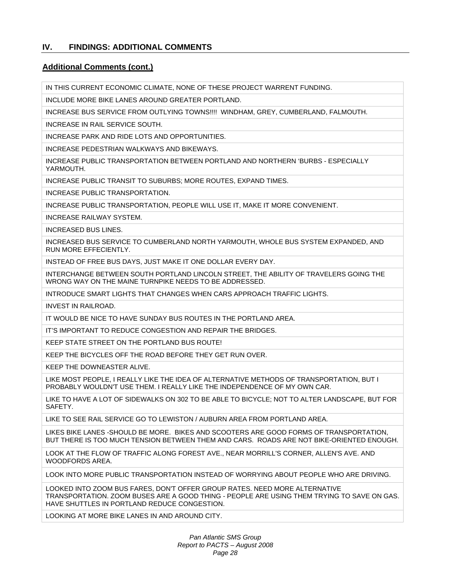#### **Additional Comments (cont.)**

IN THIS CURRENT ECONOMIC CLIMATE, NONE OF THESE PROJECT WARRENT FUNDING.

INCLUDE MORE BIKE LANES AROUND GREATER PORTLAND.

INCREASE BUS SERVICE FROM OUTLYING TOWNS!!!! WINDHAM, GREY, CUMBERLAND, FALMOUTH.

INCREASE IN RAIL SERVICE SOUTH.

INCREASE PARK AND RIDE LOTS AND OPPORTUNITIES.

INCREASE PEDESTRIAN WALKWAYS AND BIKEWAYS.

INCREASE PUBLIC TRANSPORTATION BETWEEN PORTLAND AND NORTHERN 'BURBS - ESPECIALLY YARMOUTH.

INCREASE PUBLIC TRANSIT TO SUBURBS; MORE ROUTES, EXPAND TIMES.

INCREASE PUBLIC TRANSPORTATION.

INCREASE PUBLIC TRANSPORTATION, PEOPLE WILL USE IT, MAKE IT MORE CONVENIENT.

INCREASE RAILWAY SYSTEM.

INCREASED BUS LINES.

INCREASED BUS SERVICE TO CUMBERLAND NORTH YARMOUTH, WHOLE BUS SYSTEM EXPANDED, AND RUN MORE EFFECIENTLY.

INSTEAD OF FREE BUS DAYS, JUST MAKE IT ONE DOLLAR EVERY DAY.

INTERCHANGE BETWEEN SOUTH PORTLAND LINCOLN STREET, THE ABILITY OF TRAVELERS GOING THE WRONG WAY ON THE MAINE TURNPIKE NEEDS TO BE ADDRESSED.

INTRODUCE SMART LIGHTS THAT CHANGES WHEN CARS APPROACH TRAFFIC LIGHTS.

INVEST IN RAILROAD.

IT WOULD BE NICE TO HAVE SUNDAY BUS ROUTES IN THE PORTLAND AREA.

IT'S IMPORTANT TO REDUCE CONGESTION AND REPAIR THE BRIDGES.

KEEP STATE STREET ON THE PORTLAND BUS ROUTE!

KEEP THE BICYCLES OFF THE ROAD BEFORE THEY GET RUN OVER.

KEEP THE DOWNEASTER ALIVE.

LIKE MOST PEOPLE, I REALLY LIKE THE IDEA OF ALTERNATIVE METHODS OF TRANSPORTATION, BUT I PROBABLY WOULDN'T USE THEM. I REALLY LIKE THE INDEPENDENCE OF MY OWN CAR.

LIKE TO HAVE A LOT OF SIDEWALKS ON 302 TO BE ABLE TO BICYCLE; NOT TO ALTER LANDSCAPE, BUT FOR **SAFFTY** 

LIKE TO SEE RAIL SERVICE GO TO LEWISTON / AUBURN AREA FROM PORTLAND AREA.

LIKES BIKE LANES -SHOULD BE MORE. BIKES AND SCOOTERS ARE GOOD FORMS OF TRANSPORTATION, BUT THERE IS TOO MUCH TENSION BETWEEN THEM AND CARS. ROADS ARE NOT BIKE-ORIENTED ENOUGH.

LOOK AT THE FLOW OF TRAFFIC ALONG FOREST AVE., NEAR MORRILL'S CORNER, ALLEN'S AVE. AND WOODFORDS AREA.

LOOK INTO MORE PUBLIC TRANSPORTATION INSTEAD OF WORRYING ABOUT PEOPLE WHO ARE DRIVING.

LOOKED INTO ZOOM BUS FARES, DON'T OFFER GROUP RATES. NEED MORE ALTERNATIVE TRANSPORTATION. ZOOM BUSES ARE A GOOD THING - PEOPLE ARE USING THEM TRYING TO SAVE ON GAS. HAVE SHUTTLES IN PORTLAND REDUCE CONGESTION.

LOOKING AT MORE BIKE LANES IN AND AROUND CITY.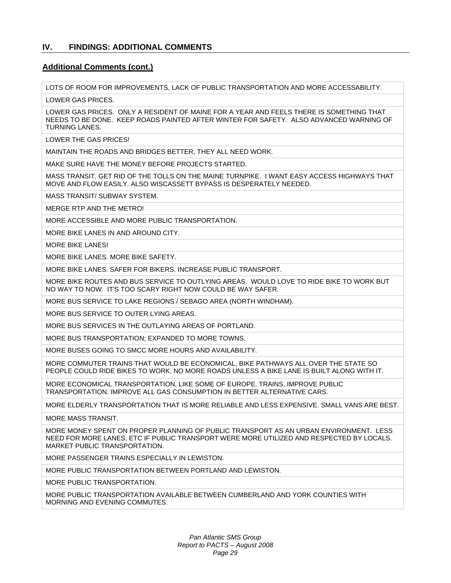#### **Additional Comments (cont.)**

LOTS OF ROOM FOR IMPROVEMENTS, LACK OF PUBLIC TRANSPORTATION AND MORE ACCESSABILITY.

LOWER GAS PRICES.

LOWER GAS PRICES. ONLY A RESIDENT OF MAINE FOR A YEAR AND FEELS THERE IS SOMETHING THAT NEEDS TO BE DONE. KEEP ROADS PAINTED AFTER WINTER FOR SAFETY. ALSO ADVANCED WARNING OF TURNING LANES.

LOWER THE GAS PRICES!

MAINTAIN THE ROADS AND BRIDGES BETTER, THEY ALL NEED WORK.

MAKE SURE HAVE THE MONEY BEFORE PROJECTS STARTED.

MASS TRANSIT. GET RID OF THE TOLLS ON THE MAINE TURNPIKE. I WANT EASY ACCESS HIGHWAYS THAT MOVE AND FLOW EASILY. ALSO WISCASSETT BYPASS IS DESPERATELY NEEDED.

MASS TRANSIT/ SUBWAY SYSTEM.

MERGE RTP AND THE METRO!

MORE ACCESSIBLE AND MORE PUBLIC TRANSPORTATION.

MORE BIKE LANES IN AND AROUND CITY.

MORE BIKE LANES!

MORE BIKE LANES. MORE BIKE SAFETY.

MORE BIKE LANES. SAFER FOR BIKERS. INCREASE PUBLIC TRANSPORT.

MORE BIKE ROUTES AND BUS SERVICE TO OUTLYING AREAS. WOULD LOVE TO RIDE BIKE TO WORK BUT NO WAY TO NOW. IT'S TOO SCARY RIGHT NOW COULD BE WAY SAFER.

MORE BUS SERVICE TO LAKE REGIONS / SEBAGO AREA (NORTH WINDHAM).

MORE BUS SERVICE TO OUTER LYING AREAS.

MORE BUS SERVICES IN THE OUTLAYING AREAS OF PORTLAND.

MORE BUS TRANSPORTATION; EXPANDED TO MORE TOWNS.

MORE BUSES GOING TO SMCC MORE HOURS AND AVAILABILITY.

MORE COMMUTER TRAINS THAT WOULD BE ECONOMICAL, BIKE PATHWAYS ALL OVER THE STATE SO PEOPLE COULD RIDE BIKES TO WORK. NO MORE ROADS UNLESS A BIKE LANE IS BUILT ALONG WITH IT.

MORE ECONOMICAL TRANSPORTATION, LIKE SOME OF EUROPE. TRAINS, IMPROVE PUBLIC TRANSPORTATION. IMPROVE ALL GAS CONSUMPTION IN BETTER ALTERNATIVE CARS.

MORE ELDERLY TRANSPORTATION THAT IS MORE RELIABLE AND LESS EXPENSIVE. SMALL VANS ARE BEST.

MORE MASS TRANSIT.

MORE MONEY SPENT ON PROPER PLANNING OF PUBLIC TRANSPORT AS AN URBAN ENVIRONMENT. LESS NEED FOR MORE LANES, ETC IF PUBLIC TRANSPORT WERE MORE UTILIZED AND RESPECTED BY LOCALS. MARKET PUBLIC TRANSPORTATION.

MORE PASSENGER TRAINS ESPECIALLY IN LEWISTON.

MORE PUBLIC TRANSPORTATION BETWEEN PORTLAND AND LEWISTON.

MORE PUBLIC TRANSPORTATION.

MORE PUBLIC TRANSPORTATION AVAILABLE BETWEEN CUMBERLAND AND YORK COUNTIES WITH MORNING AND EVENING COMMUTES.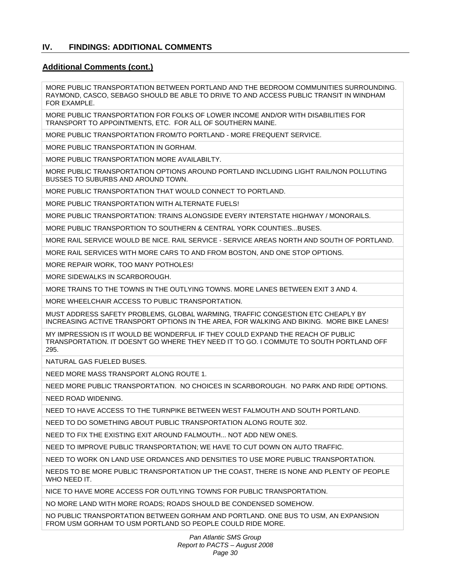## **Additional Comments (cont.)**

MORE PUBLIC TRANSPORTATION BETWEEN PORTLAND AND THE BEDROOM COMMUNITIES SURROUNDING. RAYMOND, CASCO, SEBAGO SHOULD BE ABLE TO DRIVE TO AND ACCESS PUBLIC TRANSIT IN WINDHAM FOR EXAMPLE.

MORE PUBLIC TRANSPORTATION FOR FOLKS OF LOWER INCOME AND/OR WITH DISABILITIES FOR TRANSPORT TO APPOINTMENTS, ETC. FOR ALL OF SOUTHERN MAINE.

MORE PUBLIC TRANSPORTATION FROM/TO PORTLAND - MORE FREQUENT SERVICE.

MORE PUBLIC TRANSPORTATION IN GORHAM.

MORE PUBLIC TRANSPORTATION MORE AVAILABILTY.

MORE PUBLIC TRANSPORTATION OPTIONS AROUND PORTLAND INCLUDING LIGHT RAIL/NON POLLUTING BUSSES TO SUBURBS AND AROUND TOWN.

MORE PUBLIC TRANSPORTATION THAT WOULD CONNECT TO PORTLAND.

MORE PUBLIC TRANSPORTATION WITH ALTERNATE FUELS!

MORE PUBLIC TRANSPORTATION: TRAINS ALONGSIDE EVERY INTERSTATE HIGHWAY / MONORAILS.

MORE PUBLIC TRANSPORTION TO SOUTHERN & CENTRAL YORK COUNTIES...BUSES.

MORE RAIL SERVICE WOULD BE NICE. RAIL SERVICE - SERVICE AREAS NORTH AND SOUTH OF PORTLAND.

MORE RAIL SERVICES WITH MORE CARS TO AND FROM BOSTON, AND ONE STOP OPTIONS.

MORE REPAIR WORK, TOO MANY POTHOLES!

MORE SIDEWALKS IN SCARBOROUGH.

MORE TRAINS TO THE TOWNS IN THE OUTLYING TOWNS. MORE LANES BETWEEN EXIT 3 AND 4.

MORE WHEELCHAIR ACCESS TO PUBLIC TRANSPORTATION.

MUST ADDRESS SAFETY PROBLEMS, GLOBAL WARMING, TRAFFIC CONGESTION ETC CHEAPLY BY INCREASING ACTIVE TRANSPORT OPTIONS IN THE AREA, FOR WALKING AND BIKING. MORE BIKE LANES!

MY IMPRESSION IS IT WOULD BE WONDERFUL IF THEY COULD EXPAND THE REACH OF PUBLIC TRANSPORTATION. IT DOESN'T GO WHERE THEY NEED IT TO GO. I COMMUTE TO SOUTH PORTLAND OFF 295.

NATURAL GAS FUELED BUSES.

NEED MORE MASS TRANSPORT ALONG ROUTE 1.

NEED MORE PUBLIC TRANSPORTATION. NO CHOICES IN SCARBOROUGH. NO PARK AND RIDE OPTIONS.

NEED ROAD WIDENING.

NEED TO HAVE ACCESS TO THE TURNPIKE BETWEEN WEST FALMOUTH AND SOUTH PORTLAND.

NEED TO DO SOMETHING ABOUT PUBLIC TRANSPORTATION ALONG ROUTE 302.

NEED TO FIX THE EXISTING EXIT AROUND FALMOUTH... NOT ADD NEW ONES.

NEED TO IMPROVE PUBLIC TRANSPORTATION; WE HAVE TO CUT DOWN ON AUTO TRAFFIC.

NEED TO WORK ON LAND USE ORDANCES AND DENSITIES TO USE MORE PUBLIC TRANSPORTATION.

NEEDS TO BE MORE PUBLIC TRANSPORTATION UP THE COAST, THERE IS NONE AND PLENTY OF PEOPLE WHO NEED IT.

NICE TO HAVE MORE ACCESS FOR OUTLYING TOWNS FOR PUBLIC TRANSPORTATION.

NO MORE LAND WITH MORE ROADS; ROADS SHOULD BE CONDENSED SOMEHOW.

NO PUBLIC TRANSPORTATION BETWEEN GORHAM AND PORTLAND. ONE BUS TO USM, AN EXPANSION FROM USM GORHAM TO USM PORTLAND SO PEOPLE COULD RIDE MORE.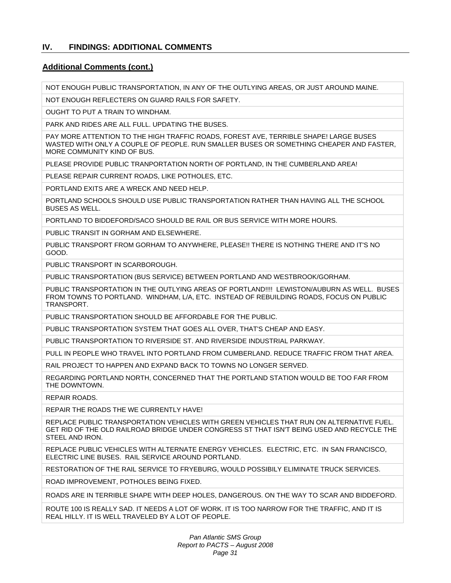## **Additional Comments (cont.)**

NOT ENOUGH PUBLIC TRANSPORTATION, IN ANY OF THE OUTLYING AREAS, OR JUST AROUND MAINE.

NOT ENOUGH REFLECTERS ON GUARD RAILS FOR SAFETY.

OUGHT TO PUT A TRAIN TO WINDHAM.

PARK AND RIDES ARE ALL FULL. UPDATING THE BUSES.

PAY MORE ATTENTION TO THE HIGH TRAFFIC ROADS, FOREST AVE, TERRIBLE SHAPE! LARGE BUSES WASTED WITH ONLY A COUPLE OF PEOPLE. RUN SMALLER BUSES OR SOMETHING CHEAPER AND FASTER, MORE COMMUNITY KIND OF BUS.

PLEASE PROVIDE PUBLIC TRANPORTATION NORTH OF PORTLAND, IN THE CUMBERLAND AREA!

PLEASE REPAIR CURRENT ROADS, LIKE POTHOLES, ETC.

PORTLAND EXITS ARE A WRECK AND NEED HELP.

PORTLAND SCHOOLS SHOULD USE PUBLIC TRANSPORTATION RATHER THAN HAVING ALL THE SCHOOL BUSES AS WELL.

PORTLAND TO BIDDEFORD/SACO SHOULD BE RAIL OR BUS SERVICE WITH MORE HOURS.

PUBLIC TRANSIT IN GORHAM AND ELSEWHERE.

PUBLIC TRANSPORT FROM GORHAM TO ANYWHERE, PLEASE!! THERE IS NOTHING THERE AND IT'S NO GOOD.

PUBLIC TRANSPORT IN SCARBOROUGH.

PUBLIC TRANSPORTATION (BUS SERVICE) BETWEEN PORTLAND AND WESTBROOK/GORHAM.

PUBLIC TRANSPORTATION IN THE OUTLYING AREAS OF PORTLAND!!!! LEWISTON/AUBURN AS WELL. BUSES FROM TOWNS TO PORTLAND. WINDHAM, L/A, ETC. INSTEAD OF REBUILDING ROADS, FOCUS ON PUBLIC TRANSPORT.

PUBLIC TRANSPORTATION SHOULD BE AFFORDABLE FOR THE PUBLIC.

PUBLIC TRANSPORTATION SYSTEM THAT GOES ALL OVER, THAT'S CHEAP AND EASY.

PUBLIC TRANSPORTATION TO RIVERSIDE ST. AND RIVERSIDE INDUSTRIAL PARKWAY.

PULL IN PEOPLE WHO TRAVEL INTO PORTLAND FROM CUMBERLAND. REDUCE TRAFFIC FROM THAT AREA.

RAIL PROJECT TO HAPPEN AND EXPAND BACK TO TOWNS NO LONGER SERVED.

REGARDING PORTLAND NORTH, CONCERNED THAT THE PORTLAND STATION WOULD BE TOO FAR FROM THE DOWNTOWN.

REPAIR ROADS.

REPAIR THE ROADS THE WE CURRENTLY HAVE!

REPLACE PUBLIC TRANSPORTATION VEHICLES WITH GREEN VEHICLES THAT RUN ON ALTERNATIVE FUEL. GET RID OF THE OLD RAILROAD BRIDGE UNDER CONGRESS ST THAT ISN'T BEING USED AND RECYCLE THE STEEL AND IRON.

REPLACE PUBLIC VEHICLES WITH ALTERNATE ENERGY VEHICLES. ELECTRIC, ETC. IN SAN FRANCISCO, ELECTRIC LINE BUSES. RAIL SERVICE AROUND PORTLAND.

RESTORATION OF THE RAIL SERVICE TO FRYEBURG, WOULD POSSIBILY ELIMINATE TRUCK SERVICES.

ROAD IMPROVEMENT, POTHOLES BEING FIXED.

ROADS ARE IN TERRIBLE SHAPE WITH DEEP HOLES, DANGEROUS. ON THE WAY TO SCAR AND BIDDEFORD.

ROUTE 100 IS REALLY SAD. IT NEEDS A LOT OF WORK. IT IS TOO NARROW FOR THE TRAFFIC, AND IT IS REAL HILLY. IT IS WELL TRAVELED BY A LOT OF PEOPLE.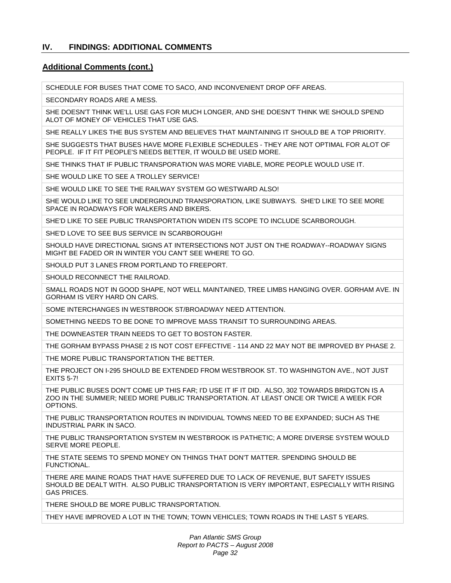#### **Additional Comments (cont.)**

SCHEDULE FOR BUSES THAT COME TO SACO, AND INCONVENIENT DROP OFF AREAS.

SECONDARY ROADS ARE A MESS.

SHE DOESN'T THINK WE'LL USE GAS FOR MUCH LONGER, AND SHE DOESN'T THINK WE SHOULD SPEND ALOT OF MONEY OF VEHICLES THAT USE GAS.

SHE REALLY LIKES THE BUS SYSTEM AND BELIEVES THAT MAINTAINING IT SHOULD BE A TOP PRIORITY.

SHE SUGGESTS THAT BUSES HAVE MORE FLEXIBLE SCHEDULES - THEY ARE NOT OPTIMAL FOR ALOT OF PEOPLE. IF IT FIT PEOPLE'S NEEDS BETTER, IT WOULD BE USED MORE.

SHE THINKS THAT IF PUBLIC TRANSPORATION WAS MORE VIABLE, MORE PEOPLE WOULD USE IT.

SHE WOULD LIKE TO SEE A TROLLEY SERVICE!

SHE WOULD LIKE TO SEE THE RAILWAY SYSTEM GO WESTWARD ALSO!

SHE WOULD LIKE TO SEE UNDERGROUND TRANSPORATION, LIKE SUBWAYS. SHE'D LIKE TO SEE MORE SPACE IN ROADWAYS FOR WALKERS AND BIKERS.

SHE'D LIKE TO SEE PUBLIC TRANSPORTATION WIDEN ITS SCOPE TO INCLUDE SCARBOROUGH.

SHE'D LOVE TO SEE BUS SERVICE IN SCARBOROUGH!

SHOULD HAVE DIRECTIONAL SIGNS AT INTERSECTIONS NOT JUST ON THE ROADWAY--ROADWAY SIGNS MIGHT BE FADED OR IN WINTER YOU CAN'T SEE WHERE TO GO.

SHOULD PUT 3 LANES FROM PORTLAND TO FREEPORT.

SHOULD RECONNECT THE RAILROAD.

SMALL ROADS NOT IN GOOD SHAPE, NOT WELL MAINTAINED, TREE LIMBS HANGING OVER. GORHAM AVE. IN GORHAM IS VERY HARD ON CARS.

SOME INTERCHANGES IN WESTBROOK ST/BROADWAY NEED ATTENTION.

SOMETHING NEEDS TO BE DONE TO IMPROVE MASS TRANSIT TO SURROUNDING AREAS.

THE DOWNEASTER TRAIN NEEDS TO GET TO BOSTON FASTER.

THE GORHAM BYPASS PHASE 2 IS NOT COST EFFECTIVE - 114 AND 22 MAY NOT BE IMPROVED BY PHASE 2.

THE MORE PUBLIC TRANSPORTATION THE BETTER.

THE PROJECT ON I-295 SHOULD BE EXTENDED FROM WESTBROOK ST. TO WASHINGTON AVE., NOT JUST EXITS 5-7!

THE PUBLIC BUSES DON'T COME UP THIS FAR; I'D USE IT IF IT DID. ALSO, 302 TOWARDS BRIDGTON IS A ZOO IN THE SUMMER; NEED MORE PUBLIC TRANSPORTATION. AT LEAST ONCE OR TWICE A WEEK FOR OPTIONS.

THE PUBLIC TRANSPORTATION ROUTES IN INDIVIDUAL TOWNS NEED TO BE EXPANDED; SUCH AS THE INDUSTRIAL PARK IN SACO.

THE PUBLIC TRANSPORTATION SYSTEM IN WESTBROOK IS PATHETIC; A MORE DIVERSE SYSTEM WOULD SERVE MORE PEOPLE.

THE STATE SEEMS TO SPEND MONEY ON THINGS THAT DON'T MATTER. SPENDING SHOULD BE FUNCTIONAL.

THERE ARE MAINE ROADS THAT HAVE SUFFERED DUE TO LACK OF REVENUE, BUT SAFETY ISSUES SHOULD BE DEALT WITH. ALSO PUBLIC TRANSPORTATION IS VERY IMPORTANT, ESPECIALLY WITH RISING GAS PRICES.

THERE SHOULD BE MORE PUBLIC TRANSPORTATION.

THEY HAVE IMPROVED A LOT IN THE TOWN; TOWN VEHICLES; TOWN ROADS IN THE LAST 5 YEARS.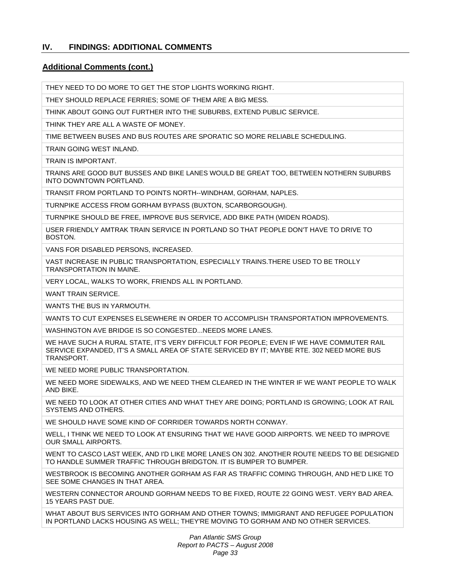## **Additional Comments (cont.)**

THEY NEED TO DO MORE TO GET THE STOP LIGHTS WORKING RIGHT.

THEY SHOULD REPLACE FERRIES; SOME OF THEM ARE A BIG MESS.

THINK ABOUT GOING OUT FURTHER INTO THE SUBURBS, EXTEND PUBLIC SERVICE.

THINK THEY ARE ALL A WASTE OF MONEY.

TIME BETWEEN BUSES AND BUS ROUTES ARE SPORATIC SO MORE RELIABLE SCHEDULING.

TRAIN GOING WEST INLAND.

TRAIN IS IMPORTANT.

TRAINS ARE GOOD BUT BUSSES AND BIKE LANES WOULD BE GREAT TOO, BETWEEN NOTHERN SUBURBS INTO DOWNTOWN PORTLAND.

TRANSIT FROM PORTLAND TO POINTS NORTH--WINDHAM, GORHAM, NAPLES.

TURNPIKE ACCESS FROM GORHAM BYPASS (BUXTON, SCARBORGOUGH).

TURNPIKE SHOULD BE FREE, IMPROVE BUS SERVICE, ADD BIKE PATH (WIDEN ROADS).

USER FRIENDLY AMTRAK TRAIN SERVICE IN PORTLAND SO THAT PEOPLE DON'T HAVE TO DRIVE TO BOSTON.

VANS FOR DISABLED PERSONS, INCREASED.

VAST INCREASE IN PUBLIC TRANSPORTATION, ESPECIALLY TRAINS.THERE USED TO BE TROLLY TRANSPORTATION IN MAINE.

VERY LOCAL, WALKS TO WORK, FRIENDS ALL IN PORTLAND.

WANT TRAIN SERVICE.

WANTS THE BUS IN YARMOUTH.

WANTS TO CUT EXPENSES ELSEWHERE IN ORDER TO ACCOMPLISH TRANSPORTATION IMPROVEMENTS.

WASHINGTON AVE BRIDGE IS SO CONGESTED...NEEDS MORE LANES.

WE HAVE SUCH A RURAL STATE, IT'S VERY DIFFICULT FOR PEOPLE; EVEN IF WE HAVE COMMUTER RAIL SERVICE EXPANDED, IT'S A SMALL AREA OF STATE SERVICED BY IT; MAYBE RTE. 302 NEED MORE BUS TRANSPORT.

WE NEED MORE PUBLIC TRANSPORTATION.

WE NEED MORE SIDEWALKS, AND WE NEED THEM CLEARED IN THE WINTER IF WE WANT PEOPLE TO WALK AND BIKE.

WE NEED TO LOOK AT OTHER CITIES AND WHAT THEY ARE DOING; PORTLAND IS GROWING; LOOK AT RAIL SYSTEMS AND OTHERS.

WE SHOULD HAVE SOME KIND OF CORRIDER TOWARDS NORTH CONWAY.

WELL, I THINK WE NEED TO LOOK AT ENSURING THAT WE HAVE GOOD AIRPORTS. WE NEED TO IMPROVE OUR SMALL AIRPORTS.

WENT TO CASCO LAST WEEK, AND I'D LIKE MORE LANES ON 302. ANOTHER ROUTE NEEDS TO BE DESIGNED TO HANDLE SUMMER TRAFFIC THROUGH BRIDGTON. IT IS BUMPER TO BUMPER.

WESTBROOK IS BECOMING ANOTHER GORHAM AS FAR AS TRAFFIC COMING THROUGH, AND HE'D LIKE TO SEE SOME CHANGES IN THAT AREA.

WESTERN CONNECTOR AROUND GORHAM NEEDS TO BE FIXED, ROUTE 22 GOING WEST. VERY BAD AREA. 15 YEARS PAST DUE.

WHAT ABOUT BUS SERVICES INTO GORHAM AND OTHER TOWNS; IMMIGRANT AND REFUGEE POPULATION IN PORTLAND LACKS HOUSING AS WELL; THEY'RE MOVING TO GORHAM AND NO OTHER SERVICES.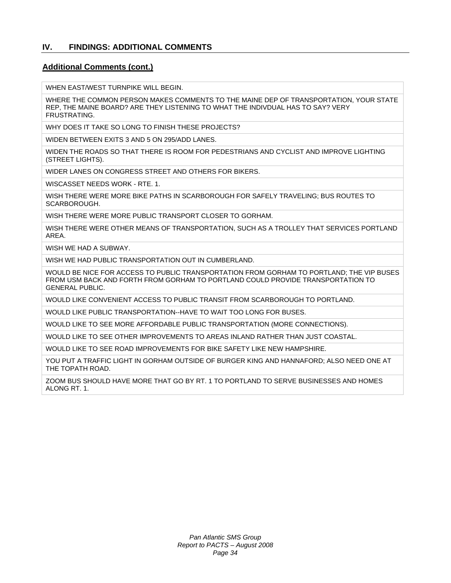#### **Additional Comments (cont.)**

WHEN EAST/WEST TURNPIKE WILL BEGIN.

WHERE THE COMMON PERSON MAKES COMMENTS TO THE MAINE DEP OF TRANSPORTATION, YOUR STATE REP, THE MAINE BOARD? ARE THEY LISTENING TO WHAT THE INDIVDUAL HAS TO SAY? VERY FRUSTRATING.

WHY DOES IT TAKE SO LONG TO FINISH THESE PROJECTS?

WIDEN BETWEEN EXITS 3 AND 5 ON 295/ADD LANES.

WIDEN THE ROADS SO THAT THERE IS ROOM FOR PEDESTRIANS AND CYCLIST AND IMPROVE LIGHTING (STREET LIGHTS).

WIDER LANES ON CONGRESS STREET AND OTHERS FOR BIKERS.

WISCASSET NEEDS WORK - RTE. 1.

WISH THERE WERE MORE BIKE PATHS IN SCARBOROUGH FOR SAFELY TRAVELING; BUS ROUTES TO SCARBOROUGH.

WISH THERE WERE MORE PUBLIC TRANSPORT CLOSER TO GORHAM.

WISH THERE WERE OTHER MEANS OF TRANSPORTATION, SUCH AS A TROLLEY THAT SERVICES PORTLAND AREA.

WISH WE HAD A SUBWAY.

WISH WE HAD PUBLIC TRANSPORTATION OUT IN CUMBERLAND.

WOULD BE NICE FOR ACCESS TO PUBLIC TRANSPORTATION FROM GORHAM TO PORTLAND; THE VIP BUSES FROM USM BACK AND FORTH FROM GORHAM TO PORTLAND COULD PROVIDE TRANSPORTATION TO GENERAL PUBLIC.

WOULD LIKE CONVENIENT ACCESS TO PUBLIC TRANSIT FROM SCARBOROUGH TO PORTLAND.

WOULD LIKE PUBLIC TRANSPORTATION--HAVE TO WAIT TOO LONG FOR BUSES.

WOULD LIKE TO SEE MORE AFFORDABLE PUBLIC TRANSPORTATION (MORE CONNECTIONS).

WOULD LIKE TO SEE OTHER IMPROVEMENTS TO AREAS INLAND RATHER THAN JUST COASTAL.

WOULD LIKE TO SEE ROAD IMPROVEMENTS FOR BIKE SAFETY LIKE NEW HAMPSHIRE.

YOU PUT A TRAFFIC LIGHT IN GORHAM OUTSIDE OF BURGER KING AND HANNAFORD; ALSO NEED ONE AT THE TOPATH ROAD.

ZOOM BUS SHOULD HAVE MORE THAT GO BY RT. 1 TO PORTLAND TO SERVE BUSINESSES AND HOMES ALONG RT. 1.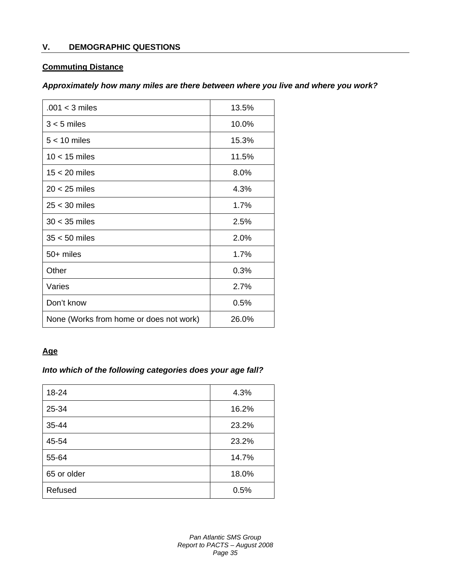## **V. DEMOGRAPHIC QUESTIONS**

## **Commuting Distance**

## *Approximately how many miles are there between where you live and where you work?*

| $.001 < 3$ miles                        | 13.5% |
|-----------------------------------------|-------|
| $3 < 5$ miles                           | 10.0% |
| $5 < 10$ miles                          | 15.3% |
| $10 < 15$ miles                         | 11.5% |
| $15 < 20$ miles                         | 8.0%  |
| $20 < 25$ miles                         | 4.3%  |
| $25 < 30$ miles                         | 1.7%  |
| $30 < 35$ miles                         | 2.5%  |
| $35 < 50$ miles                         | 2.0%  |
| 50+ miles                               | 1.7%  |
| Other                                   | 0.3%  |
| Varies                                  | 2.7%  |
| Don't know                              | 0.5%  |
| None (Works from home or does not work) | 26.0% |

## **Age**

## *Into which of the following categories does your age fall?*

| 18-24       | 4.3%  |
|-------------|-------|
| 25-34       | 16.2% |
| 35-44       | 23.2% |
| 45-54       | 23.2% |
| 55-64       | 14.7% |
| 65 or older | 18.0% |
| Refused     | 0.5%  |